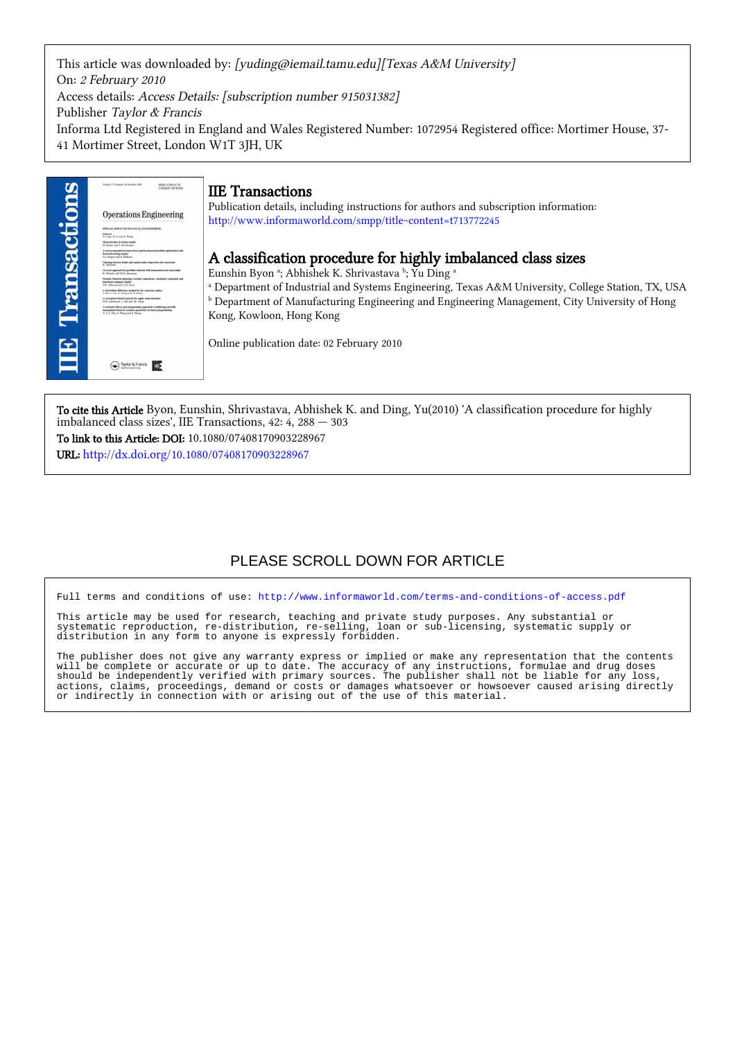This article was downloaded by: [yuding@iemail.tamu.edu][Texas A&M University] On: 2 February 2010 Access details: Access Details: [subscription number 915031382] Publisher Taylor & Francis Informa Ltd Registered in England and Wales Registered Number: 1072954 Registered office: Mortimer House, 37- 41 Mortimer Street, London W1T 3JH, UK



To cite this Article Byon, Eunshin, Shrivastava, Abhishek K. and Ding, Yu(2010) 'A classification procedure for highly imbalanced class sizes', IIE Transactions, 42: 4, 288 — 303

To link to this Article: DOI: 10.1080/07408170903228967 URL: <http://dx.doi.org/10.1080/07408170903228967>

## PLEASE SCROLL DOWN FOR ARTICLE

Full terms and conditions of use:<http://www.informaworld.com/terms-and-conditions-of-access.pdf>

This article may be used for research, teaching and private study purposes. Any substantial or systematic reproduction, re-distribution, re-selling, loan or sub-licensing, systematic supply or distribution in any form to anyone is expressly forbidden.

The publisher does not give any warranty express or implied or make any representation that the contents will be complete or accurate or up to date. The accuracy of any instructions, formulae and drug doses should be independently verified with primary sources. The publisher shall not be liable for any loss, actions, claims, proceedings, demand or costs or damages whatsoever or howsoever caused arising directly or indirectly in connection with or arising out of the use of this material.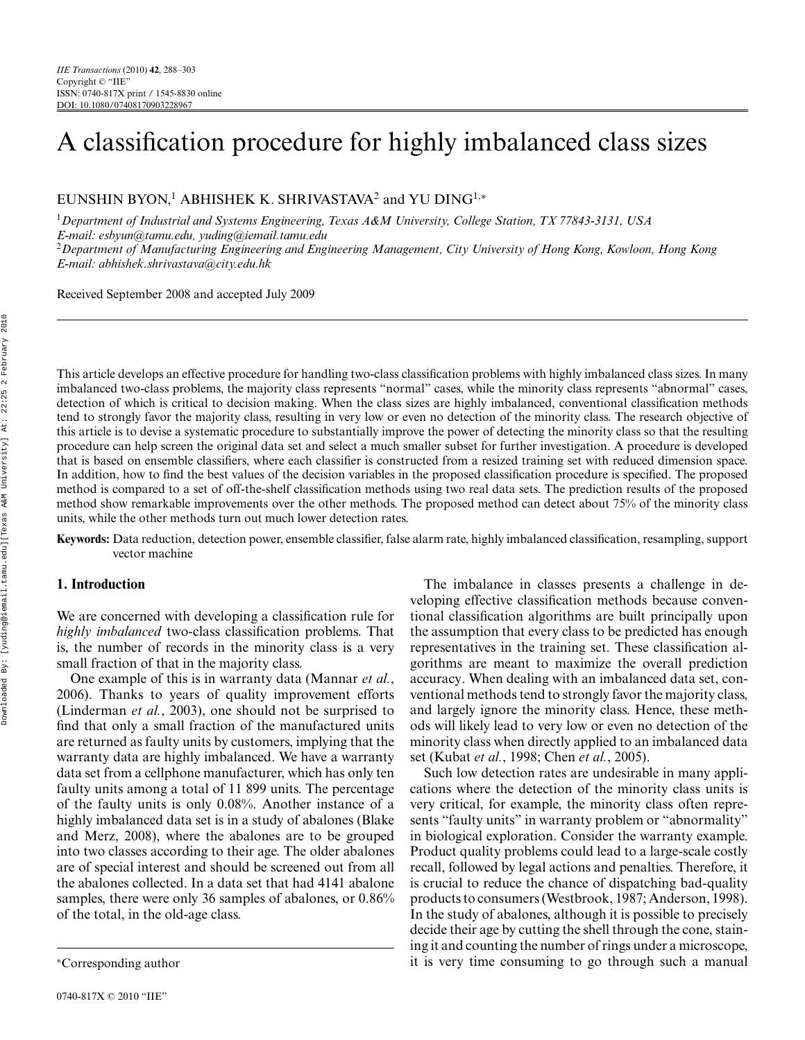# A classification procedure for highly imbalanced class sizes

EUNSHIN BYON,<sup>1</sup> ABHISHEK K. SHRIVASTAVA<sup>2</sup> and YU DING<sup>1,∗</sup>

<sup>1</sup>*Department of Industrial and Systems Engineering, Texas A&M University, College Station, TX 77843-3131, USA E-mail: esbyun@tamu.edu, yuding@iemail.tamu.edu* <sup>2</sup>*Department of Manufacturing Engineering and Engineering Management, City University of Hong Kong, Kowloon, Hong Kong E-mail: abhishek.shrivastava@city.edu.hk*

Received September 2008 and accepted July 2009

This article develops an effective procedure for handling two-class classification problems with highly imbalanced class sizes. In many imbalanced two-class problems, the majority class represents "normal" cases, while the minority class represents "abnormal" cases, detection of which is critical to decision making. When the class sizes are highly imbalanced, conventional classification methods tend to strongly favor the majority class, resulting in very low or even no detection of the minority class. The research objective of this article is to devise a systematic procedure to substantially improve the power of detecting the minority class so that the resulting procedure can help screen the original data set and select a much smaller subset for further investigation. A procedure is developed that is based on ensemble classifiers, where each classifier is constructed from a resized training set with reduced dimension space. In addition, how to find the best values of the decision variables in the proposed classification procedure is specified. The proposed method is compared to a set of off-the-shelf classification methods using two real data sets. The prediction results of the proposed method show remarkable improvements over the other methods. The proposed method can detect about 75% of the minority class units, while the other methods turn out much lower detection rates.

**Keywords:** Data reduction, detection power, ensemble classifier, false alarm rate, highly imbalanced classification, resampling, support vector machine

## **1. Introduction**

We are concerned with developing a classification rule for *highly imbalanced* two-class classification problems. That is, the number of records in the minority class is a very small fraction of that in the majority class.

One example of this is in warranty data (Mannar *et al.*, 2006). Thanks to years of quality improvement efforts (Linderman *et al.*, 2003), one should not be surprised to find that only a small fraction of the manufactured units are returned as faulty units by customers, implying that the warranty data are highly imbalanced. We have a warranty data set from a cellphone manufacturer, which has only ten faulty units among a total of 11 899 units. The percentage of the faulty units is only 0.08%. Another instance of a highly imbalanced data set is in a study of abalones (Blake and Merz, 2008), where the abalones are to be grouped into two classes according to their age. The older abalones are of special interest and should be screened out from all the abalones collected. In a data set that had 4141 abalone samples, there were only 36 samples of abalones, or 0.86% of the total, in the old-age class.

The imbalance in classes presents a challenge in developing effective classification methods because conventional classification algorithms are built principally upon the assumption that every class to be predicted has enough representatives in the training set. These classification algorithms are meant to maximize the overall prediction accuracy. When dealing with an imbalanced data set, conventional methods tend to strongly favor the majority class, and largely ignore the minority class. Hence, these methods will likely lead to very low or even no detection of the minority class when directly applied to an imbalanced data set (Kubat *et al.*, 1998; Chen *et al.*, 2005).

Such low detection rates are undesirable in many applications where the detection of the minority class units is very critical, for example, the minority class often represents "faulty units" in warranty problem or "abnormality" in biological exploration. Consider the warranty example. Product quality problems could lead to a large-scale costly recall, followed by legal actions and penalties. Therefore, it is crucial to reduce the chance of dispatching bad-quality products to consumers (Westbrook, 1987; Anderson, 1998). In the study of abalones, although it is possible to precisely decide their age by cutting the shell through the cone, staining it and counting the number of rings under a microscope, it is very time consuming to go through such a manual

<sup>∗</sup>Corresponding author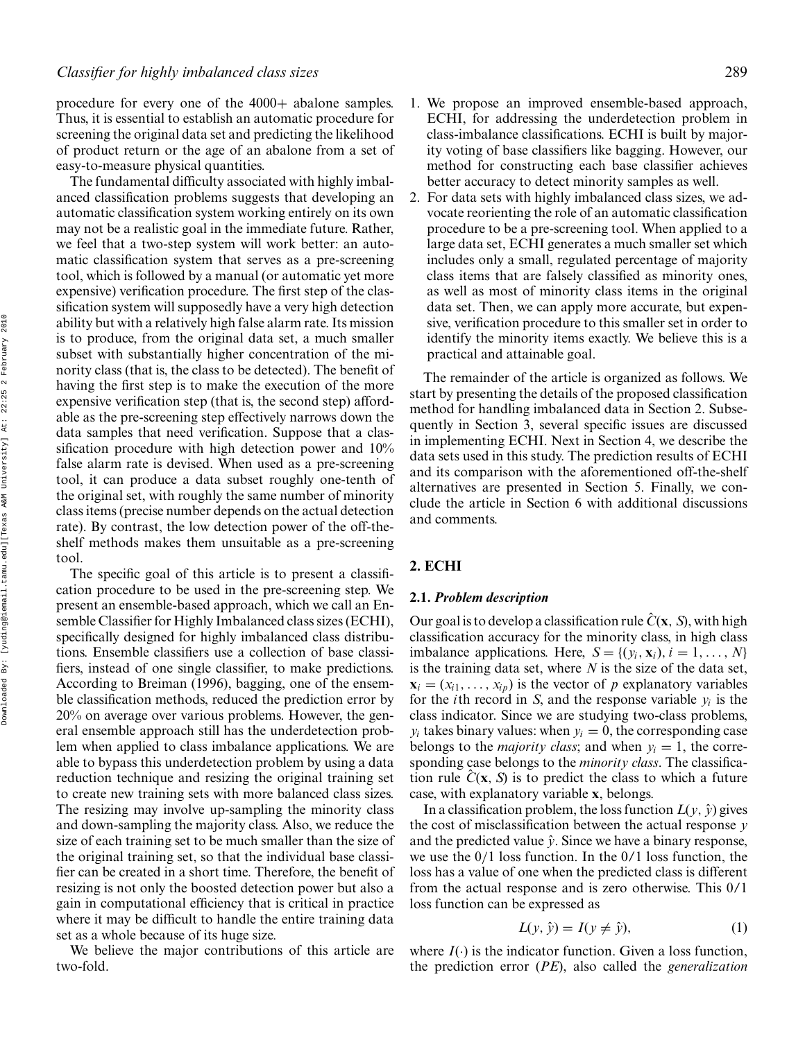procedure for every one of the 4000+ abalone samples. Thus, it is essential to establish an automatic procedure for screening the original data set and predicting the likelihood of product return or the age of an abalone from a set of easy-to-measure physical quantities.

The fundamental difficulty associated with highly imbalanced classification problems suggests that developing an automatic classification system working entirely on its own may not be a realistic goal in the immediate future. Rather, we feel that a two-step system will work better: an automatic classification system that serves as a pre-screening tool, which is followed by a manual (or automatic yet more expensive) verification procedure. The first step of the classification system will supposedly have a very high detection ability but with a relatively high false alarm rate. Its mission is to produce, from the original data set, a much smaller subset with substantially higher concentration of the minority class (that is, the class to be detected). The benefit of having the first step is to make the execution of the more expensive verification step (that is, the second step) affordable as the pre-screening step effectively narrows down the data samples that need verification. Suppose that a classification procedure with high detection power and 10% false alarm rate is devised. When used as a pre-screening tool, it can produce a data subset roughly one-tenth of the original set, with roughly the same number of minority class items (precise number depends on the actual detection rate). By contrast, the low detection power of the off-theshelf methods makes them unsuitable as a pre-screening tool.

The specific goal of this article is to present a classification procedure to be used in the pre-screening step. We present an ensemble-based approach, which we call an Ensemble Classifier for Highly Imbalanced class sizes (ECHI), specifically designed for highly imbalanced class distributions. Ensemble classifiers use a collection of base classifiers, instead of one single classifier, to make predictions. According to Breiman (1996), bagging, one of the ensemble classification methods, reduced the prediction error by 20% on average over various problems. However, the general ensemble approach still has the underdetection problem when applied to class imbalance applications. We are able to bypass this underdetection problem by using a data reduction technique and resizing the original training set to create new training sets with more balanced class sizes. The resizing may involve up-sampling the minority class and down-sampling the majority class. Also, we reduce the size of each training set to be much smaller than the size of the original training set, so that the individual base classifier can be created in a short time. Therefore, the benefit of resizing is not only the boosted detection power but also a gain in computational efficiency that is critical in practice where it may be difficult to handle the entire training data set as a whole because of its huge size.

We believe the major contributions of this article are two-fold.

- 1. We propose an improved ensemble-based approach, ECHI, for addressing the underdetection problem in class-imbalance classifications. ECHI is built by majority voting of base classifiers like bagging. However, our method for constructing each base classifier achieves better accuracy to detect minority samples as well.
- 2. For data sets with highly imbalanced class sizes, we advocate reorienting the role of an automatic classification procedure to be a pre-screening tool. When applied to a large data set, ECHI generates a much smaller set which includes only a small, regulated percentage of majority class items that are falsely classified as minority ones, as well as most of minority class items in the original data set. Then, we can apply more accurate, but expensive, verification procedure to this smaller set in order to identify the minority items exactly. We believe this is a practical and attainable goal.

The remainder of the article is organized as follows. We start by presenting the details of the proposed classification method for handling imbalanced data in Section 2. Subsequently in Section 3, several specific issues are discussed in implementing ECHI. Next in Section 4, we describe the data sets used in this study. The prediction results of ECHI and its comparison with the aforementioned off-the-shelf alternatives are presented in Section 5. Finally, we conclude the article in Section 6 with additional discussions and comments.

## **2. ECHI**

## **2.1.** *Problem description*

Our goal is to develop a classification rule  $\hat{C}(\mathbf{x}, \mathbf{S})$ , with high classification accuracy for the minority class, in high class imbalance applications. Here,  $S = \{(y_i, \mathbf{x}_i), i = 1, \ldots, N\}$ is the training data set, where *N* is the size of the data set,  $\mathbf{x}_i = (x_{i1}, \ldots, x_{ip})$  is the vector of *p* explanatory variables for the *i*th record in *S*, and the response variable *yi* is the class indicator. Since we are studying two-class problems,  $y_i$  takes binary values: when  $y_i = 0$ , the corresponding case belongs to the *majority class*; and when  $y_i = 1$ , the corresponding case belongs to the *minority class*. The classification rule  $\hat{C}(\mathbf{x}, \mathbf{S})$  is to predict the class to which a future case, with explanatory variable **x**, belongs.

In a classification problem, the loss function  $L(y, \hat{y})$  gives the cost of misclassification between the actual response *y* and the predicted value  $\hat{y}$ . Since we have a binary response, we use the 0/1 loss function. In the 0/1 loss function, the loss has a value of one when the predicted class is different from the actual response and is zero otherwise. This 0/1 loss function can be expressed as

$$
L(y, \hat{y}) = I(y \neq \hat{y}),\tag{1}
$$

where  $I(\cdot)$  is the indicator function. Given a loss function, the prediction error (*PE*), also called the *generalization*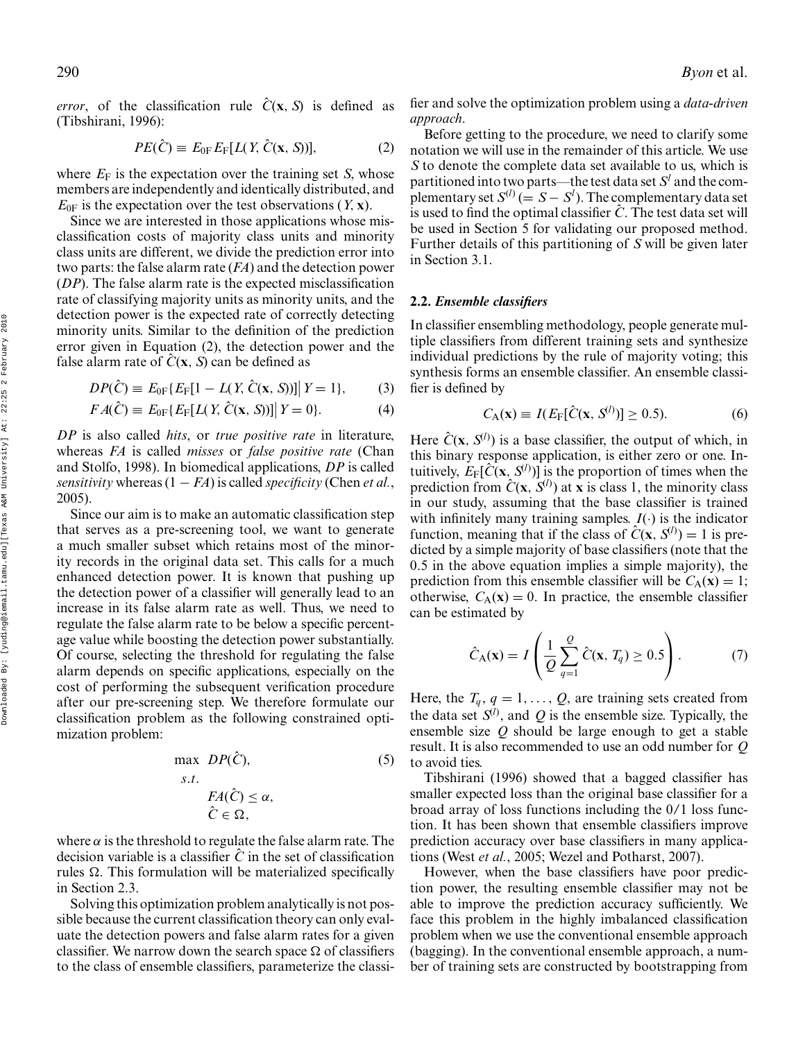*error*, of the classification rule  $\hat{C}(\mathbf{x}, S)$  is defined as (Tibshirani, 1996):

$$
PE(\hat{C}) \equiv E_{0F} E_F[L(Y, \hat{C}(\mathbf{x}, S))], \tag{2}
$$

where  $E_F$  is the expectation over the training set *S*, whose members are independently and identically distributed, and  $E_{0F}$  is the expectation over the test observations  $(Y, x)$ .

Since we are interested in those applications whose misclassification costs of majority class units and minority class units are different, we divide the prediction error into two parts: the false alarm rate (*FA*) and the detection power (*DP*). The false alarm rate is the expected misclassification rate of classifying majority units as minority units, and the detection power is the expected rate of correctly detecting minority units. Similar to the definition of the prediction error given in Equation (2), the detection power and the false alarm rate of  $\hat{C}(\mathbf{x}, \mathbf{S})$  can be defined as

$$
DP(\hat{C}) \equiv E_{0F}\{E_F[1 - L(Y, \hat{C}(\mathbf{x}, S))] \mid Y = 1\},\tag{3}
$$

$$
FA(\hat{C}) \equiv E_{0F}\{E_F[L(Y, \hat{C}(\mathbf{x}, S))] \mid Y = 0\}.
$$
 (4)

*DP* is also called *hits*, or *true positive rate* in literature, whereas *FA* is called *misses* or *false positive rate* (Chan and Stolfo, 1998). In biomedical applications, *DP* is called *sensitivity* whereas  $(1 - FA)$  is called *specificity* (Chen *et al.*, 2005).

Since our aim is to make an automatic classification step that serves as a pre-screening tool, we want to generate a much smaller subset which retains most of the minority records in the original data set. This calls for a much enhanced detection power. It is known that pushing up the detection power of a classifier will generally lead to an increase in its false alarm rate as well. Thus, we need to regulate the false alarm rate to be below a specific percentage value while boosting the detection power substantially. Of course, selecting the threshold for regulating the false alarm depends on specific applications, especially on the cost of performing the subsequent verification procedure after our pre-screening step. We therefore formulate our classification problem as the following constrained optimization problem:

max 
$$
DP(\hat{C})
$$
, (5)  
\ns.t.  
\n $FA(\hat{C}) \le \alpha$ ,  
\n $\hat{C} \in \Omega$ ,

where  $\alpha$  is the threshold to regulate the false alarm rate. The decision variable is a classifier  $\hat{C}$  in the set of classification rules  $\Omega$ . This formulation will be materialized specifically in Section 2.3.

Solving this optimization problem analytically is not possible because the current classification theory can only evaluate the detection powers and false alarm rates for a given classifier. We narrow down the search space  $\Omega$  of classifiers to the class of ensemble classifiers, parameterize the classifier and solve the optimization problem using a *data-driven approach*.

Before getting to the procedure, we need to clarify some notation we will use in the remainder of this article. We use *S* to denote the complete data set available to us, which is partitioned into two parts—the test data set  $S<sup>l</sup>$  and the complementary set  $S^{(l)} (= S - S^l)$ . The complementary data set is used to find the optimal classifier  $\hat{C}$ . The test data set will be used in Section 5 for validating our proposed method. Further details of this partitioning of *S* will be given later in Section 3.1.

## **2.2.** *Ensemble classifiers*

In classifier ensembling methodology, people generate multiple classifiers from different training sets and synthesize individual predictions by the rule of majority voting; this synthesis forms an ensemble classifier. An ensemble classifier is defined by

$$
C_{\rm A}(\mathbf{x}) \equiv I(E_{\rm F}[\hat{C}(\mathbf{x}, S^{(l)})] \ge 0.5). \tag{6}
$$

Here  $\hat{C}(\mathbf{x}, S^{(l)})$  is a base classifier, the output of which, in this binary response application, is either zero or one. Intuitively,  $E_F[\hat{C}(\mathbf{x}, S^{(l)})]$  is the proportion of times when the prediction from  $\hat{C}(\mathbf{x}, \mathbf{S}^{(l)})$  at **x** is class 1, the minority class in our study, assuming that the base classifier is trained with infinitely many training samples.  $I(\cdot)$  is the indicator function, meaning that if the class of  $\hat{C}(\mathbf{x}, S^{(l)}) = 1$  is predicted by a simple majority of base classifiers (note that the 0.5 in the above equation implies a simple majority), the prediction from this ensemble classifier will be  $C_A(\mathbf{x}) = 1$ ; otherwise,  $C_A(\mathbf{x}) = 0$ . In practice, the ensemble classifier can be estimated by

$$
\hat{C}_{A}(\mathbf{x}) = I\left(\frac{1}{Q}\sum_{q=1}^{Q}\hat{C}(\mathbf{x}, T_q) \ge 0.5\right). \tag{7}
$$

Here, the  $T_q$ ,  $q = 1, \ldots, Q$ , are training sets created from the data set  $S^{(l)}$ , and Q is the ensemble size. Typically, the ensemble size *Q* should be large enough to get a stable result. It is also recommended to use an odd number for *Q* to avoid ties.

Tibshirani (1996) showed that a bagged classifier has smaller expected loss than the original base classifier for a broad array of loss functions including the 0/1 loss function. It has been shown that ensemble classifiers improve prediction accuracy over base classifiers in many applications (West *et al.*, 2005; Wezel and Potharst, 2007).

However, when the base classifiers have poor prediction power, the resulting ensemble classifier may not be able to improve the prediction accuracy sufficiently. We face this problem in the highly imbalanced classification problem when we use the conventional ensemble approach (bagging). In the conventional ensemble approach, a number of training sets are constructed by bootstrapping from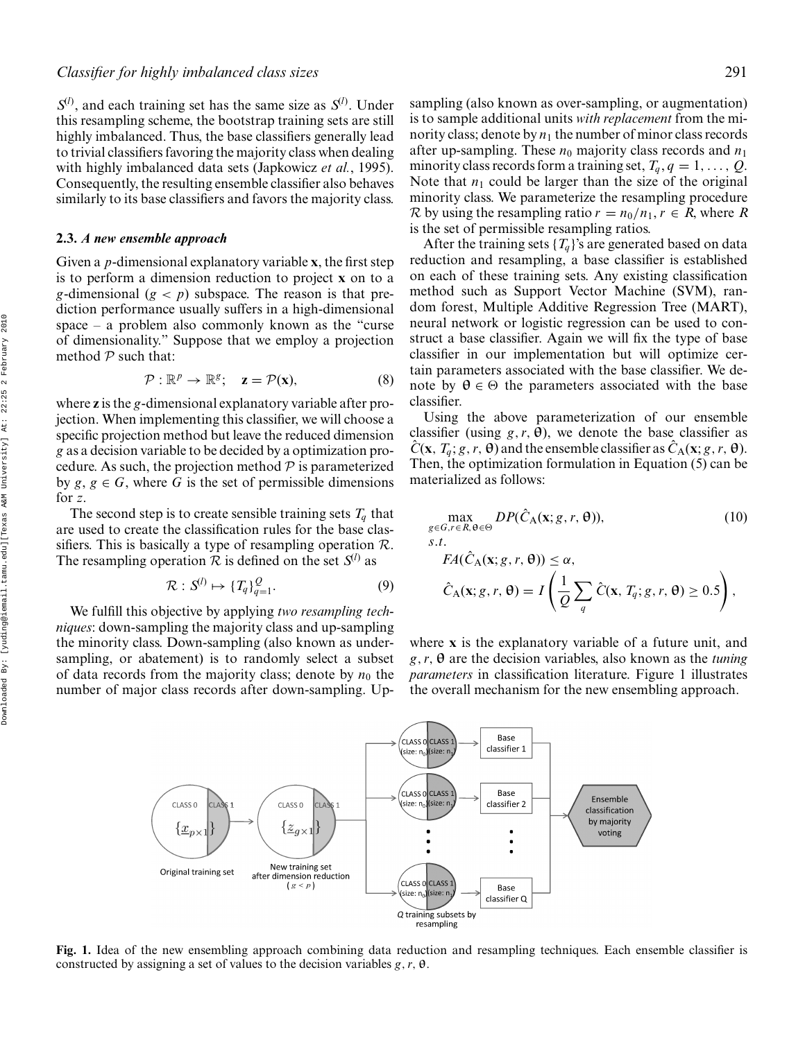$S^{(l)}$ , and each training set has the same size as  $S^{(l)}$ . Under this resampling scheme, the bootstrap training sets are still highly imbalanced. Thus, the base classifiers generally lead to trivial classifiers favoring the majority class when dealing with highly imbalanced data sets (Japkowicz *et al.*, 1995). Consequently, the resulting ensemble classifier also behaves similarly to its base classifiers and favors the majority class.

## **2.3.** *A new ensemble approach*

Given a *p*-dimensional explanatory variable **x**, the first step is to perform a dimension reduction to project **x** on to a *g*-dimensional  $(g < p)$  subspace. The reason is that prediction performance usually suffers in a high-dimensional space – a problem also commonly known as the "curse of dimensionality." Suppose that we employ a projection method  $P$  such that:

$$
\mathcal{P}: \mathbb{R}^p \to \mathbb{R}^g; \quad \mathbf{z} = \mathcal{P}(\mathbf{x}), \tag{8}
$$

where **z** is the *g*-dimensional explanatory variable after projection. When implementing this classifier, we will choose a specific projection method but leave the reduced dimension *g* as a decision variable to be decided by a optimization procedure. As such, the projection method  $\mathcal P$  is parameterized by  $g, g \in G$ , where G is the set of permissible dimensions for *z*.

The second step is to create sensible training sets  $T_q$  that are used to create the classification rules for the base classifiers. This is basically a type of resampling operation  $\mathcal{R}$ . The resampling operation  $R$  is defined on the set  $S^{(l)}$  as

$$
\mathcal{R}: S^{(l)} \mapsto \{T_q\}_{q=1}^Q. \tag{9}
$$

We fulfill this objective by applying *two resampling techniques*: down-sampling the majority class and up-sampling the minority class. Down-sampling (also known as undersampling, or abatement) is to randomly select a subset of data records from the majority class; denote by  $n_0$  the number of major class records after down-sampling. Upsampling (also known as over-sampling, or augmentation) is to sample additional units *with replacement* from the minority class; denote by  $n_1$  the number of minor class records after up-sampling. These  $n_0$  majority class records and  $n_1$ minority class records form a training set,  $T_q$ ,  $q = 1, \ldots, Q$ . Note that  $n_1$  could be larger than the size of the original minority class. We parameterize the resampling procedure R by using the resampling ratio  $r = n_0/n_1$ ,  $r \in R$ , where R is the set of permissible resampling ratios.

After the training sets  $\{T_a\}$ 's are generated based on data reduction and resampling, a base classifier is established on each of these training sets. Any existing classification method such as Support Vector Machine (SVM), random forest, Multiple Additive Regression Tree (MART), neural network or logistic regression can be used to construct a base classifier. Again we will fix the type of base classifier in our implementation but will optimize certain parameters associated with the base classifier. We denote by  $\theta \in \Theta$  the parameters associated with the base classifier.

Using the above parameterization of our ensemble classifier (using  $g, r, \theta$ ), we denote the base classifier as  $\hat{C}(\mathbf{x}, T_a; g, r, \theta)$  and the ensemble classifier as  $\hat{C}_A(\mathbf{x}; g, r, \theta)$ . Then, the optimization formulation in Equation (5) can be materialized as follows:

$$
\max_{g \in G, r \in R, \theta \in \Theta} DP(\hat{C}_{A}(\mathbf{x}; g, r, \theta)),
$$
\n(10)  
\ns.t.  
\n
$$
FA(\hat{C}_{A}(\mathbf{x}; g, r, \theta)) \le \alpha,
$$
  
\n
$$
\hat{C}_{A}(\mathbf{x}; g, r, \theta) = I\left(\frac{1}{Q}\sum \hat{C}(\mathbf{x}, T_q; g, r, \theta) \ge 0.5\right),
$$

*q*

where **x** is the explanatory variable of a future unit, and *g*,*r*,**θ** are the decision variables, also known as the *tuning parameters* in classification literature. Figure 1 illustrates the overall mechanism for the new ensembling approach.

*Q*



**Fig. 1.** Idea of the new ensembling approach combining data reduction and resampling techniques. Each ensemble classifier is constructed by assigning a set of values to the decision variables *g*,*r*, **θ**.

Downloaded By: [yuding@iemail.tamu.edu][Texas A&M University] At: 22:25 2 February 2010 Downloaded By: [yuding@iemail.tamu.edu][Texas A&M University] At: 22:25 2 February 2010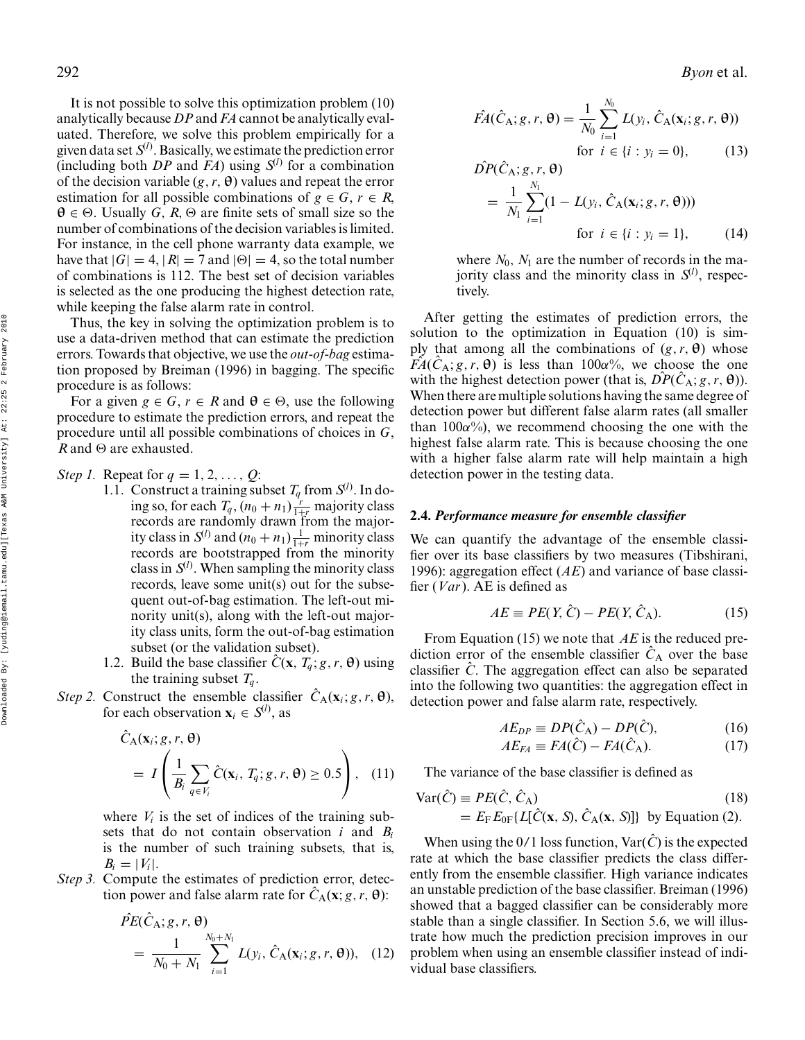It is not possible to solve this optimization problem (10)  
analytically because DP and FA cannot be analytically eval-  
uated. Therefore, we solve this problem empirically for a  
given data set 
$$
S^{(l)}
$$
. Basically, we estimate the prediction error  
(including both DP and FA) using  $S^{(l)}$  for a combination  
of the decision variable  $(g, r, \theta)$  values and repeat the error  
estimation for all possible combinations of  $g \in G, r \in R$ ,  
 $\theta \in \Theta$ . Usually G, R,  $\Theta$  are finite sets of small size so the  
number of combinations of the decision variables is limited.  
For instance, in the cell phone warranty data example, we  
have that  $|G| = 4$ ,  $|R| = 7$  and  $|\Theta| = 4$ , so the total number  
of combinations is 112. The best set of decision variables  
is selected as the one producing the highest detection rate,  
while keeping the false alarm rate in control.

Thus, the key in solving the optimization problem is to use a data-driven method that can estimate the prediction errors. Towards that objective, we use the *out-of-bag* estimation proposed by Breiman (1996) in bagging. The specific procedure is as follows:

For a given  $g \in G$ ,  $r \in R$  and  $\theta \in \Theta$ , use the following procedure to estimate the prediction errors, and repeat the procedure until all possible combinations of choices in *G*,  $R$  and  $\Theta$  are exhausted.

Step 1. Repeat for 
$$
q = 1, 2, \ldots, Q
$$
:

- 1.1. Construct a training subset  $T_q$  from  $S^{(l)}$ . In doing so, for each  $T_q$ ,  $(n_0 + n_1) \frac{r}{1+r}$  majority class records are randomly drawn from the majority class in  $S^{(l)}$  and  $(n_0 + n_1) \frac{1}{1+r}$  minority class records are bootstrapped from the minority class in  $S^{(l)}$ . When sampling the minority class records, leave some unit(s) out for the subsequent out-of-bag estimation. The left-out minority unit(s), along with the left-out majority class units, form the out-of-bag estimation subset (or the validation subset).
	- 1.2. Build the base classifier  $\hat{C}(\mathbf{x}, T_q; g, r, \theta)$  using the training subset  $T_q$ .
- *Step 2.* Construct the ensemble classifier  $\hat{C}_A(\mathbf{x}_i; g, r, \theta)$ , for each observation  $\mathbf{x}_i \in S^{(l)}$ , as

$$
\hat{C}_{A}(\mathbf{x}_{i}; g, r, \theta) = I\left(\frac{1}{B_{i}} \sum_{q \in V_{i}} \hat{C}(\mathbf{x}_{i}, T_{q}; g, r, \theta) \ge 0.5\right), (11)
$$

where  $V_i$  is the set of indices of the training subsets that do not contain observation *i* and *Bi* is the number of such training subsets, that is,  $B_i = |V_i|$ .

*Step 3.* Compute the estimates of prediction error, detection power and false alarm rate for  $\hat{C}_A(\mathbf{x}; g, r, \theta)$ :

$$
\hat{PE}(\hat{C}_{A}; g, r, \theta) = \frac{1}{N_0 + N_1} \sum_{i=1}^{N_0 + N_1} L(y_i, \hat{C}_{A}(\mathbf{x}_i; g, r, \theta)), \quad (12)
$$

$$
\hat{FA}(\hat{C}_A; g, r, \theta) = \frac{1}{N_0} \sum_{i=1}^{N_0} L(y_i, \hat{C}_A(\mathbf{x}_i; g, r, \theta))
$$
  
for  $i \in \{i : \nu_i = 0\}$  (13)

$$
\hat{DP}(\hat{C}_{A}; g, r, \theta) = \frac{1}{N_1} \sum_{i=1}^{N_1} (1 - L(y_i, \hat{C}_{A}(\mathbf{x}_i; g, r, \theta)))
$$
\nfor  $i \in \{i : y_i = 1\}$ , (14)

where  $N_0$ ,  $N_1$  are the number of records in the majority class and the minority class in  $S^{(l)}$ , respectively.

After getting the estimates of prediction errors, the solution to the optimization in Equation (10) is simply that among all the combinations of  $(g, r, \theta)$  whose  $FA(C_A; g, r, \theta)$  is less than 100 $\alpha$ %, we choose the one with the highest detection power (that is,  $\hat{DP}(\hat{C}_A; g, r, \theta)$ ). When there are multiple solutions having the same degree of detection power but different false alarm rates (all smaller than  $100\alpha\%$ , we recommend choosing the one with the highest false alarm rate. This is because choosing the one with a higher false alarm rate will help maintain a high detection power in the testing data.

## **2.4.** *Performance measure for ensemble classifier*

We can quantify the advantage of the ensemble classifier over its base classifiers by two measures (Tibshirani, 1996): aggregation effect (*AE*) and variance of base classifier (*Var*). AE is defined as

$$
AE \equiv PE(Y, \hat{C}) - PE(Y, \hat{C}_A). \tag{15}
$$

From Equation (15) we note that *AE* is the reduced prediction error of the ensemble classifier  $C_A$  over the base classifier  $\hat{C}$ . The aggregation effect can also be separated into the following two quantities: the aggregation effect in detection power and false alarm rate, respectively.

$$
AE_{DP} \equiv DP(\hat{C}_{A}) - DP(\hat{C}),\tag{16}
$$

$$
AE_{FA} \equiv FA(\hat{C}) - FA(\hat{C}_A). \tag{17}
$$

The variance of the base classifier is defined as

$$
\begin{aligned} \text{Var}(\hat{C}) &\equiv PE(\hat{C}, \hat{C}_{\text{A}}) \qquad (18) \\ &= E_{\text{F}} E_{0\text{F}} \{L[\hat{C}(\mathbf{x}, S), \hat{C}_{\text{A}}(\mathbf{x}, S)]\} \text{ by Equation (2).} \end{aligned}
$$

When using the  $0/1$  loss function,  $Var(\hat{C})$  is the expected rate at which the base classifier predicts the class differently from the ensemble classifier. High variance indicates an unstable prediction of the base classifier. Breiman (1996) showed that a bagged classifier can be considerably more stable than a single classifier. In Section 5.6, we will illustrate how much the prediction precision improves in our problem when using an ensemble classifier instead of individual base classifiers.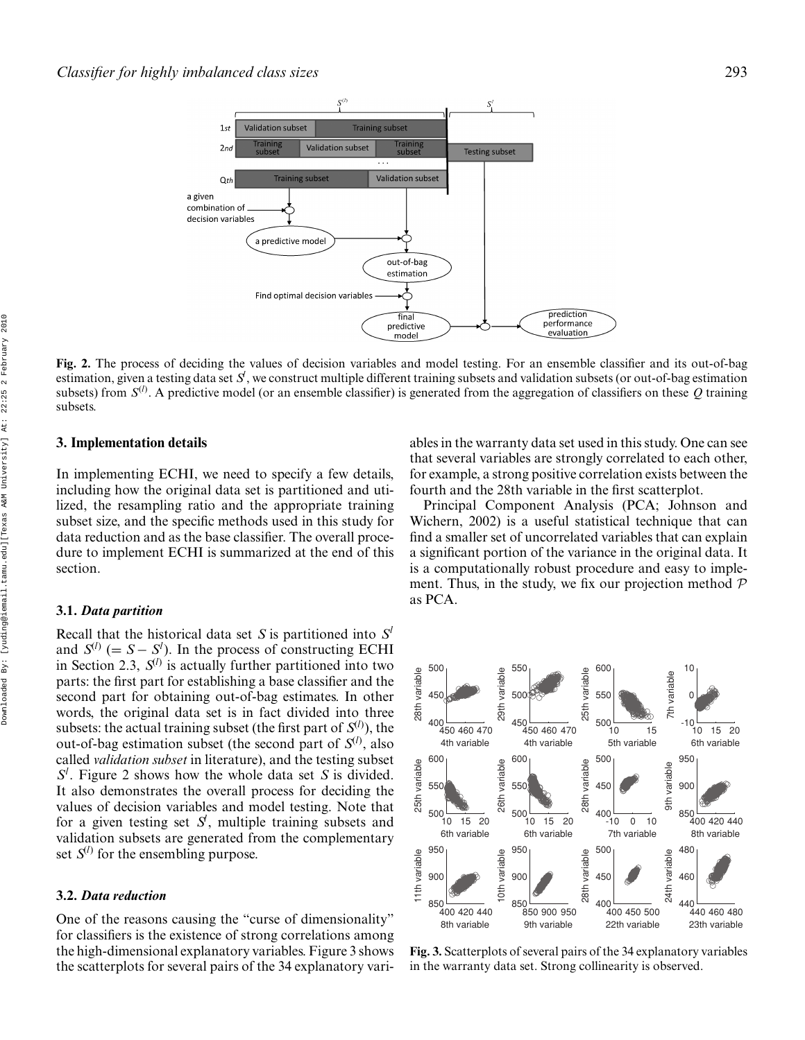

**Fig. 2.** The process of deciding the values of decision variables and model testing. For an ensemble classifier and its out-of-bag estimation, given a testing data set  $S$  , we construct multiple different training subsets and validation subsets (or out-of-bag estimation subsets) from  $S^{(l)}$ . A predictive model (or an ensemble classifier) is generated from the aggregation of classifiers on these Q training subsets.

## **3. Implementation details**

In implementing ECHI, we need to specify a few details, including how the original data set is partitioned and utilized, the resampling ratio and the appropriate training subset size, and the specific methods used in this study for data reduction and as the base classifier. The overall procedure to implement ECHI is summarized at the end of this section.

## **3.1.** *Data partition*

Recall that the historical data set *S* is partitioned into *S<sup>l</sup>* and  $S^{(l)}$  (=  $S - S^{l}$ ). In the process of constructing ECHI in Section 2.3,  $S^{(l)}$  is actually further partitioned into two parts: the first part for establishing a base classifier and the second part for obtaining out-of-bag estimates. In other words, the original data set is in fact divided into three subsets: the actual training subset (the first part of  $S^{(l)}$ ), the out-of-bag estimation subset (the second part of  $S^{(l)}$ , also called *validation subset* in literature), and the testing subset *Sl* . Figure 2 shows how the whole data set *S* is divided. It also demonstrates the overall process for deciding the values of decision variables and model testing. Note that for a given testing set  $S<sup>i</sup>$ , multiple training subsets and validation subsets are generated from the complementary set  $S^{(l)}$  for the ensembling purpose.

## **3.2.** *Data reduction*

One of the reasons causing the "curse of dimensionality" for classifiers is the existence of strong correlations among the high-dimensional explanatory variables. Figure 3 shows the scatterplots for several pairs of the 34 explanatory variables in the warranty data set used in this study. One can see that several variables are strongly correlated to each other, for example, a strong positive correlation exists between the fourth and the 28th variable in the first scatterplot.

Principal Component Analysis (PCA; Johnson and Wichern, 2002) is a useful statistical technique that can find a smaller set of uncorrelated variables that can explain a significant portion of the variance in the original data. It is a computationally robust procedure and easy to implement. Thus, in the study, we fix our projection method  $P$ as PCA.



**Fig. 3.** Scatterplots of several pairs of the 34 explanatory variables in the warranty data set. Strong collinearity is observed.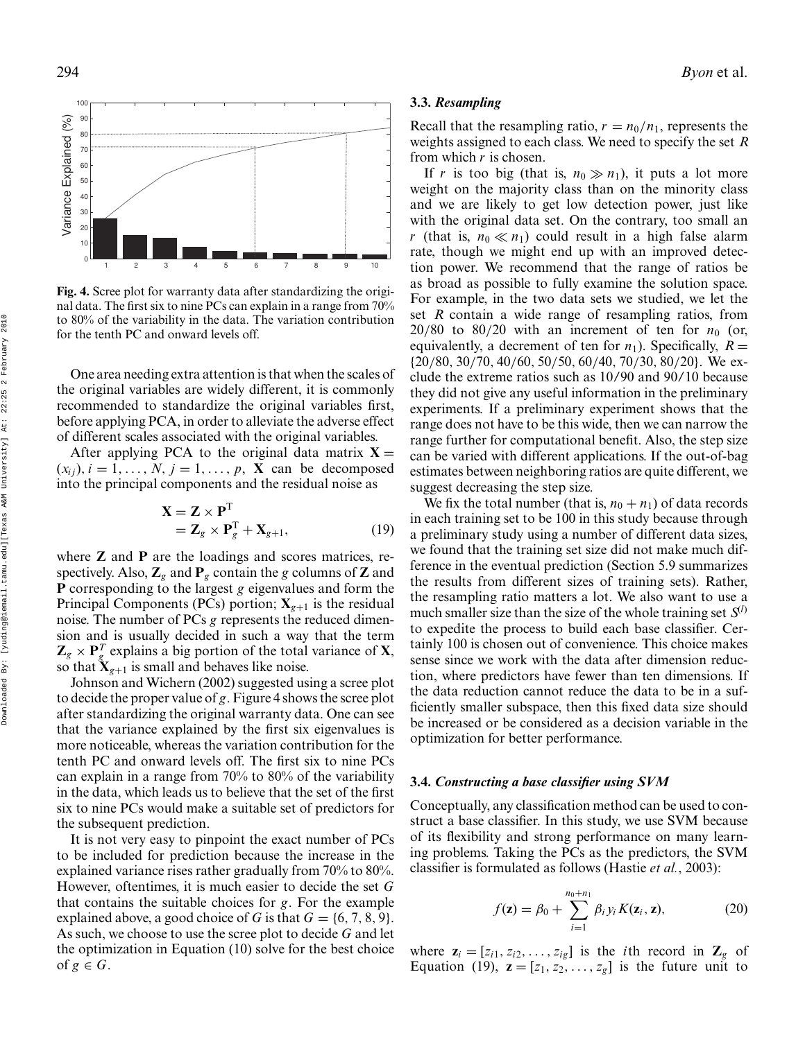

**Fig. 4.** Scree plot for warranty data after standardizing the original data. The first six to nine PCs can explain in a range from 70% to 80% of the variability in the data. The variation contribution for the tenth PC and onward levels off.

One area needing extra attention is that when the scales of the original variables are widely different, it is commonly recommended to standardize the original variables first, before applying PCA, in order to alleviate the adverse effect of different scales associated with the original variables.

After applying PCA to the original data matrix  $X =$  $(x_{ij})$ ,  $i = 1, \ldots, N$ ,  $j = 1, \ldots, p$ , **X** can be decomposed into the principal components and the residual noise as

$$
\mathbf{X} = \mathbf{Z} \times \mathbf{P}^{\mathrm{T}} \n= \mathbf{Z}_{g} \times \mathbf{P}_{g}^{\mathrm{T}} + \mathbf{X}_{g+1},
$$
\n(19)

where **Z** and **P** are the loadings and scores matrices, respectively. Also,  $\mathbb{Z}_g$  and  $\mathbb{P}_g$  contain the *g* columns of **Z** and **P** corresponding to the largest *g* eigenvalues and form the Principal Components (PCs) portion;  $X_{g+1}$  is the residual noise. The number of PCs *g* represents the reduced dimension and is usually decided in such a way that the term  $\mathbf{Z}_g \times \mathbf{P}_g^T$  explains a big portion of the total variance of **X**, so that  $\mathbf{X}_{g+1}$  is small and behaves like noise.

Johnson and Wichern (2002) suggested using a scree plot to decide the proper value of *g*. Figure 4 shows the scree plot after standardizing the original warranty data. One can see that the variance explained by the first six eigenvalues is more noticeable, whereas the variation contribution for the tenth PC and onward levels off. The first six to nine PCs can explain in a range from 70% to 80% of the variability in the data, which leads us to believe that the set of the first six to nine PCs would make a suitable set of predictors for the subsequent prediction.

It is not very easy to pinpoint the exact number of PCs to be included for prediction because the increase in the explained variance rises rather gradually from 70% to 80%. However, oftentimes, it is much easier to decide the set *G* that contains the suitable choices for *g*. For the example explained above, a good choice of *G* is that  $G = \{6, 7, 8, 9\}$ . As such, we choose to use the scree plot to decide *G* and let the optimization in Equation (10) solve for the best choice of  $g \in G$ .

## **3.3.** *Resampling*

Recall that the resampling ratio,  $r = n_0/n_1$ , represents the weights assigned to each class. We need to specify the set *R* from which *r* is chosen.

If *r* is too big (that is,  $n_0 \gg n_1$ ), it puts a lot more weight on the majority class than on the minority class and we are likely to get low detection power, just like with the original data set. On the contrary, too small an *r* (that is,  $n_0 \ll n_1$ ) could result in a high false alarm rate, though we might end up with an improved detection power. We recommend that the range of ratios be as broad as possible to fully examine the solution space. For example, in the two data sets we studied, we let the set *R* contain a wide range of resampling ratios, from  $20/80$  to  $80/20$  with an increment of ten for  $n_0$  (or, equivalently, a decrement of ten for  $n_1$ ). Specifically,  $R =$ {20/80, 30/70, 40/60, 50/50, 60/40, 70/30, 80/20}. We exclude the extreme ratios such as 10/90 and 90/10 because they did not give any useful information in the preliminary experiments. If a preliminary experiment shows that the range does not have to be this wide, then we can narrow the range further for computational benefit. Also, the step size can be varied with different applications. If the out-of-bag estimates between neighboring ratios are quite different, we suggest decreasing the step size.

We fix the total number (that is,  $n_0 + n_1$ ) of data records in each training set to be 100 in this study because through a preliminary study using a number of different data sizes, we found that the training set size did not make much difference in the eventual prediction (Section 5.9 summarizes the results from different sizes of training sets). Rather, the resampling ratio matters a lot. We also want to use a much smaller size than the size of the whole training set  $S^{(l)}$ to expedite the process to build each base classifier. Certainly 100 is chosen out of convenience. This choice makes sense since we work with the data after dimension reduction, where predictors have fewer than ten dimensions. If the data reduction cannot reduce the data to be in a sufficiently smaller subspace, then this fixed data size should be increased or be considered as a decision variable in the optimization for better performance.

## **3.4.** *Constructing a base classifier using SVM*

Conceptually, any classification method can be used to construct a base classifier. In this study, we use SVM because of its flexibility and strong performance on many learning problems. Taking the PCs as the predictors, the SVM classifier is formulated as follows (Hastie *et al.*, 2003):

$$
f(\mathbf{z}) = \beta_0 + \sum_{i=1}^{n_0+n_1} \beta_i y_i K(\mathbf{z}_i, \mathbf{z}),
$$
 (20)

where  $\mathbf{z}_i = [z_{i1}, z_{i2}, \dots, z_{ig}]$  is the *i*th record in  $\mathbf{Z}_g$  of Equation (19),  $\mathbf{z} = [z_1, z_2, \dots, z_g]$  is the future unit to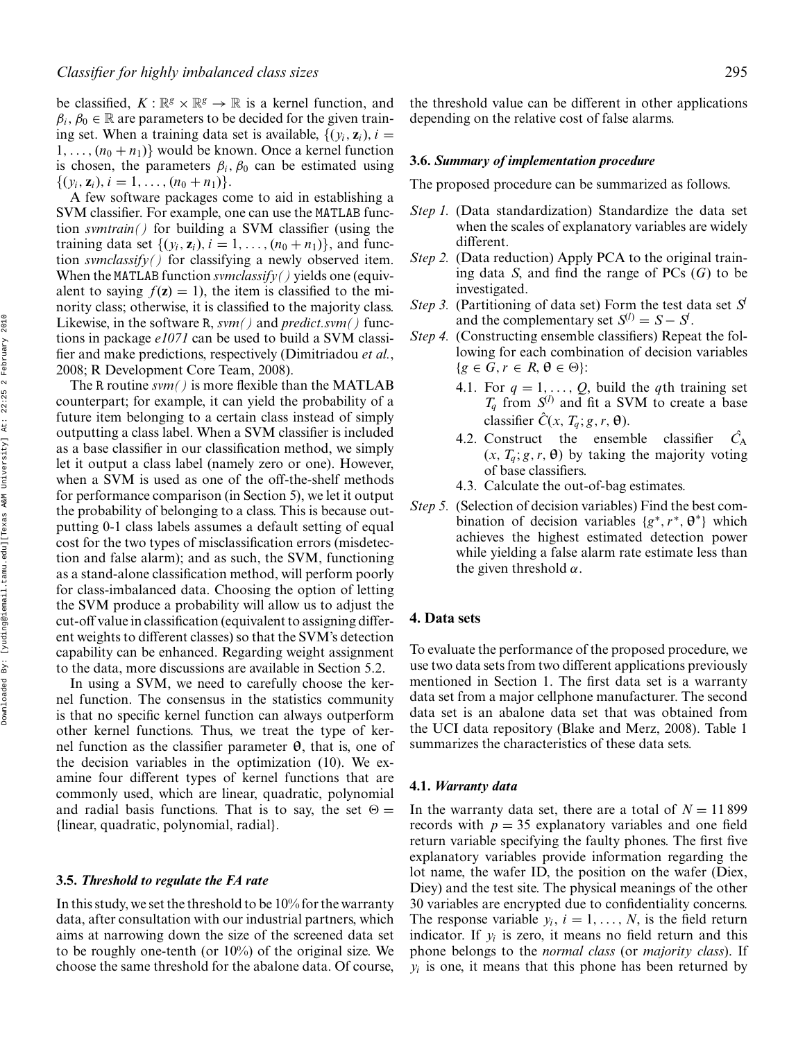be classified,  $K : \mathbb{R}^g \times \mathbb{R}^g \to \mathbb{R}$  is a kernel function, and  $\beta_i$ ,  $\beta_0 \in \mathbb{R}$  are parameters to be decided for the given training set. When a training data set is available,  $\{(y_i, z_i), i =$  $1, \ldots, (n_0 + n_1)$  would be known. Once a kernel function is chosen, the parameters  $\beta_i$ ,  $\beta_0$  can be estimated using  $\{(y_i, \mathbf{z}_i), i = 1, \ldots, (n_0 + n_1)\}.$ 

A few software packages come to aid in establishing a SVM classifier. For example, one can use the MATLAB function *svmtrain()* for building a SVM classifier (using the training data set  $\{(y_i, z_i), i = 1, ..., (n_0 + n_1)\}\$ , and function *svmclassify()* for classifying a newly observed item. When the MATLAB function *svmclassify()* yields one (equivalent to saying  $f(z) = 1$ , the item is classified to the minority class; otherwise, it is classified to the majority class. Likewise, in the software R, *svm()* and *predict.svm()* functions in package *e1071* can be used to build a SVM classifier and make predictions, respectively (Dimitriadou *et al.*, 2008; R Development Core Team, 2008).

The R routine *svm()* is more flexible than the MATLAB counterpart; for example, it can yield the probability of a future item belonging to a certain class instead of simply outputting a class label. When a SVM classifier is included as a base classifier in our classification method, we simply let it output a class label (namely zero or one). However, when a SVM is used as one of the off-the-shelf methods for performance comparison (in Section 5), we let it output the probability of belonging to a class. This is because outputting 0-1 class labels assumes a default setting of equal cost for the two types of misclassification errors (misdetection and false alarm); and as such, the SVM, functioning as a stand-alone classification method, will perform poorly for class-imbalanced data. Choosing the option of letting the SVM produce a probability will allow us to adjust the cut-off value in classification (equivalent to assigning different weights to different classes) so that the SVM's detection capability can be enhanced. Regarding weight assignment to the data, more discussions are available in Section 5.2.

In using a SVM, we need to carefully choose the kernel function. The consensus in the statistics community is that no specific kernel function can always outperform other kernel functions. Thus, we treat the type of kernel function as the classifier parameter **θ**, that is, one of the decision variables in the optimization (10). We examine four different types of kernel functions that are commonly used, which are linear, quadratic, polynomial and radial basis functions. That is to say, the set  $\Theta =$ {linear, quadratic, polynomial, radial}.

#### **3.5.** *Threshold to regulate the FA rate*

In this study, we set the threshold to be 10% for the warranty data, after consultation with our industrial partners, which aims at narrowing down the size of the screened data set to be roughly one-tenth (or 10%) of the original size. We choose the same threshold for the abalone data. Of course,

the threshold value can be different in other applications depending on the relative cost of false alarms.

## **3.6.** *Summary of implementation procedure*

The proposed procedure can be summarized as follows.

- *Step 1.* (Data standardization) Standardize the data set when the scales of explanatory variables are widely different.
- *Step 2.* (Data reduction) Apply PCA to the original training data *S*, and find the range of PCs (*G*) to be investigated.
- *Step 3.* (Partitioning of data set) Form the test data set *Sl* and the complementary set  $S^{(l)} = S - S^l$ .
- *Step 4.* (Constructing ensemble classifiers) Repeat the following for each combination of decision variables  ${g \in G, r \in R, \theta \in \Theta}$ :
	- 4.1. For  $q = 1, \ldots, Q$ , build the *q*th training set  $T_q$  from  $S^{(l)}$  and fit a SVM to create a base classifier  $\hat{C}(x, T_q; g, r, \theta)$ .
	- 4.2. Construct the ensemble classifier  $\hat{C}_A$  $(x, T_q; g, r, \theta)$  by taking the majority voting of base classifiers.
	- 4.3. Calculate the out-of-bag estimates.
- *Step 5.* (Selection of decision variables) Find the best combination of decision variables  ${g^*, r^*, \theta^*}$  which achieves the highest estimated detection power while yielding a false alarm rate estimate less than the given threshold  $\alpha$ .

## **4. Data sets**

To evaluate the performance of the proposed procedure, we use two data sets from two different applications previously mentioned in Section 1. The first data set is a warranty data set from a major cellphone manufacturer. The second data set is an abalone data set that was obtained from the UCI data repository (Blake and Merz, 2008). Table 1 summarizes the characteristics of these data sets.

#### **4.1.** *Warranty data*

In the warranty data set, there are a total of  $N = 11899$ records with  $p = 35$  explanatory variables and one field return variable specifying the faulty phones. The first five explanatory variables provide information regarding the lot name, the wafer ID, the position on the wafer (Diex, Diey) and the test site. The physical meanings of the other 30 variables are encrypted due to confidentiality concerns. The response variable  $y_i$ ,  $i = 1, ..., N$ , is the field return indicator. If  $y_i$  is zero, it means no field return and this phone belongs to the *normal class* (or *majority class*). If  $y_i$  is one, it means that this phone has been returned by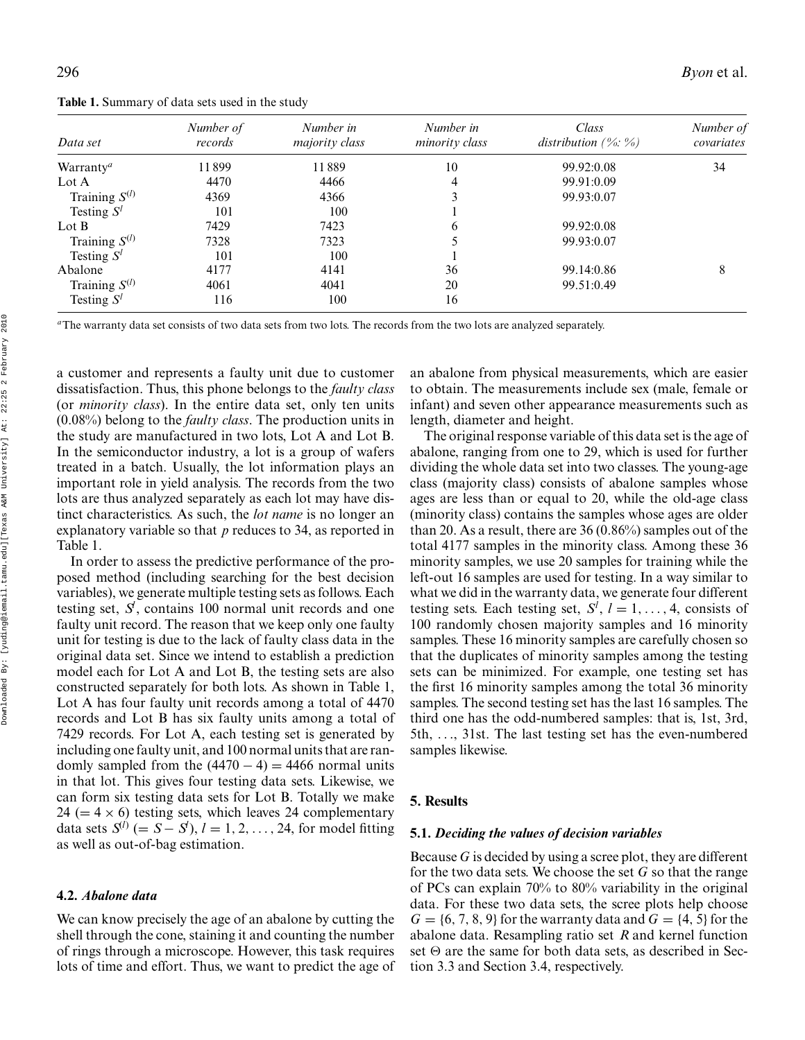**Table 1.** Summary of data sets used in the study

| Data set              | Number of<br>records | Number in<br>majority class | Number in<br>minority class | Class<br>distribution $(\% : \%)$ | Number of<br>covariates |
|-----------------------|----------------------|-----------------------------|-----------------------------|-----------------------------------|-------------------------|
| Warranty <sup>a</sup> | 11899                | 11889                       | 10                          | 99.92:0.08                        | 34                      |
| Lot A                 | 4470                 | 4466                        | 4                           | 99.91:0.09                        |                         |
| Training $S^{(l)}$    | 4369                 | 4366                        |                             | 99.93:0.07                        |                         |
| Testing $S^l$         | 101                  | 100                         |                             |                                   |                         |
| Lot $B$               | 7429                 | 7423                        | 6                           | 99.92:0.08                        |                         |
| Training $S^{(l)}$    | 7328                 | 7323                        |                             | 99.93:0.07                        |                         |
| Testing $S^l$         | 101                  | 100                         |                             |                                   |                         |
| Abalone               | 4177                 | 4141                        | 36                          | 99.14:0.86                        | 8                       |
| Training $S^{(l)}$    | 4061                 | 4041                        | 20                          | 99.51:0.49                        |                         |
| Testing $S^l$         | 116                  | 100                         | 16                          |                                   |                         |

*<sup>a</sup>*The warranty data set consists of two data sets from two lots. The records from the two lots are analyzed separately.

a customer and represents a faulty unit due to customer dissatisfaction. Thus, this phone belongs to the *faulty class* (or *minority class*). In the entire data set, only ten units (0.08%) belong to the *faulty class*. The production units in the study are manufactured in two lots, Lot A and Lot B. In the semiconductor industry, a lot is a group of wafers treated in a batch. Usually, the lot information plays an important role in yield analysis. The records from the two lots are thus analyzed separately as each lot may have distinct characteristics. As such, the *lot name* is no longer an explanatory variable so that *p* reduces to 34, as reported in Table 1.

In order to assess the predictive performance of the proposed method (including searching for the best decision variables), we generate multiple testing sets as follows. Each testing set, *Sl* , contains 100 normal unit records and one faulty unit record. The reason that we keep only one faulty unit for testing is due to the lack of faulty class data in the original data set. Since we intend to establish a prediction model each for Lot A and Lot B, the testing sets are also constructed separately for both lots. As shown in Table 1, Lot A has four faulty unit records among a total of 4470 records and Lot B has six faulty units among a total of 7429 records. For Lot A, each testing set is generated by including one faulty unit, and 100 normal units that are randomly sampled from the  $(4470 - 4) = 4466$  normal units in that lot. This gives four testing data sets. Likewise, we can form six testing data sets for Lot B. Totally we make 24 ( $= 4 \times 6$ ) testing sets, which leaves 24 complementary data sets  $S^{(l)}$  (=  $S - S^{(l)}$ ),  $l = 1, 2, ..., 24$ , for model fitting as well as out-of-bag estimation.

## **4.2.** *Abalone data*

We can know precisely the age of an abalone by cutting the shell through the cone, staining it and counting the number of rings through a microscope. However, this task requires lots of time and effort. Thus, we want to predict the age of an abalone from physical measurements, which are easier to obtain. The measurements include sex (male, female or infant) and seven other appearance measurements such as length, diameter and height.

The original response variable of this data set is the age of abalone, ranging from one to 29, which is used for further dividing the whole data set into two classes. The young-age class (majority class) consists of abalone samples whose ages are less than or equal to 20, while the old-age class (minority class) contains the samples whose ages are older than 20. As a result, there are 36 (0.86%) samples out of the total 4177 samples in the minority class. Among these 36 minority samples, we use 20 samples for training while the left-out 16 samples are used for testing. In a way similar to what we did in the warranty data, we generate four different testing sets. Each testing set,  $S^l$ ,  $l = 1, ..., 4$ , consists of 100 randomly chosen majority samples and 16 minority samples. These 16 minority samples are carefully chosen so that the duplicates of minority samples among the testing sets can be minimized. For example, one testing set has the first 16 minority samples among the total 36 minority samples. The second testing set has the last 16 samples. The third one has the odd-numbered samples: that is, 1st, 3rd, 5th, ..., 31st. The last testing set has the even-numbered samples likewise.

## **5. Results**

#### **5.1.** *Deciding the values of decision variables*

Because *G* is decided by using a scree plot, they are different for the two data sets. We choose the set *G* so that the range of PCs can explain 70% to 80% variability in the original data. For these two data sets, the scree plots help choose  $G = \{6, 7, 8, 9\}$  for the warranty data and  $G = \{4, 5\}$  for the abalone data. Resampling ratio set *R* and kernel function set  $\Theta$  are the same for both data sets, as described in Section 3.3 and Section 3.4, respectively.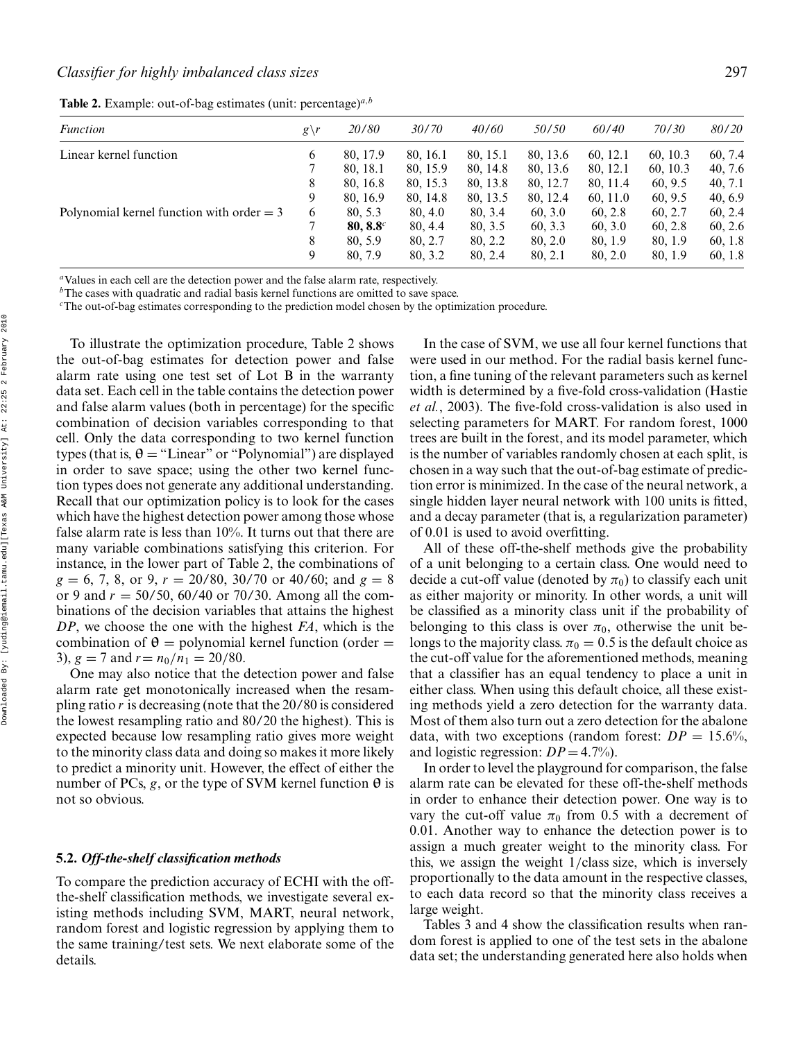|  |  | Table 2. Example: out-of-bag estimates (unit: percentage) $a,b$ |  |  |
|--|--|-----------------------------------------------------------------|--|--|
|--|--|-----------------------------------------------------------------|--|--|

| <i>Function</i>                             | $g\backslash r$ | 20/80        | 30/70    | 40/60    | 50/50    | 60/40    | 70/30    | 80/20   |
|---------------------------------------------|-----------------|--------------|----------|----------|----------|----------|----------|---------|
| Linear kernel function                      | 6               | 80, 17.9     | 80, 16.1 | 80, 15.1 | 80, 13.6 | 60.12.1  | 60, 10.3 | 60, 7.4 |
|                                             |                 | 80, 18.1     | 80, 15.9 | 80, 14.8 | 80, 13.6 | 80, 12.1 | 60, 10.3 | 40, 7.6 |
|                                             | 8               | 80, 16.8     | 80, 15.3 | 80, 13.8 | 80, 12.7 | 80, 11.4 | 60.9.5   | 40, 7.1 |
|                                             | 9               | 80, 16.9     | 80, 14.8 | 80, 13.5 | 80, 12.4 | 60, 11.0 | 60.9.5   | 40, 6.9 |
| Polynomial kernel function with order $=$ 3 | 6               | 80, 5.3      | 80, 4.0  | 80, 3.4  | 60, 3.0  | 60, 2.8  | 60.2.7   | 60, 2.4 |
|                                             |                 | $80.8.8^{c}$ | 80, 4.4  | 80, 3.5  | 60, 3.3  | 60, 3.0  | 60.2.8   | 60, 2.6 |
|                                             | 8               | 80.5.9       | 80, 2.7  | 80, 2.2  | 80, 2.0  | 80, 1.9  | 80, 1.9  | 60, 1.8 |
|                                             | 9               | 80, 7.9      | 80, 3.2  | 80, 2.4  | 80, 2.1  | 80, 2.0  | 80, 1.9  | 60, 1.8 |

*<sup>a</sup>*Values in each cell are the detection power and the false alarm rate, respectively.

*<sup>b</sup>*The cases with quadratic and radial basis kernel functions are omitted to save space.

*<sup>c</sup>*The out-of-bag estimates corresponding to the prediction model chosen by the optimization procedure.

To illustrate the optimization procedure, Table 2 shows the out-of-bag estimates for detection power and false alarm rate using one test set of Lot B in the warranty data set. Each cell in the table contains the detection power and false alarm values (both in percentage) for the specific combination of decision variables corresponding to that cell. Only the data corresponding to two kernel function types (that is,  $\theta$  = "Linear" or "Polynomial") are displayed in order to save space; using the other two kernel function types does not generate any additional understanding. Recall that our optimization policy is to look for the cases which have the highest detection power among those whose false alarm rate is less than 10%. It turns out that there are many variable combinations satisfying this criterion. For instance, in the lower part of Table 2, the combinations of  $g = 6, 7, 8,$  or 9,  $r = 20/80, 30/70$  or 40/60; and  $g = 8$ or 9 and *r* = 50/50, 60/40 or 70/30. Among all the combinations of the decision variables that attains the highest *DP*, we choose the one with the highest *FA*, which is the combination of  $\theta$  = polynomial kernel function (order = 3),  $g = 7$  and  $r = n_0/n_1 = 20/80$ .

One may also notice that the detection power and false alarm rate get monotonically increased when the resampling ratio *r* is decreasing (note that the 20/80 is considered the lowest resampling ratio and 80/20 the highest). This is expected because low resampling ratio gives more weight to the minority class data and doing so makes it more likely to predict a minority unit. However, the effect of either the number of PCs,  $g$ , or the type of SVM kernel function  $\theta$  is not so obvious.

## **5.2.** *Off-the-shelf classification methods*

To compare the prediction accuracy of ECHI with the offthe-shelf classification methods, we investigate several existing methods including SVM, MART, neural network, random forest and logistic regression by applying them to the same training/test sets. We next elaborate some of the details.

In the case of SVM, we use all four kernel functions that were used in our method. For the radial basis kernel function, a fine tuning of the relevant parameters such as kernel width is determined by a five-fold cross-validation (Hastie *et al.*, 2003). The five-fold cross-validation is also used in selecting parameters for MART. For random forest, 1000 trees are built in the forest, and its model parameter, which is the number of variables randomly chosen at each split, is chosen in a way such that the out-of-bag estimate of prediction error is minimized. In the case of the neural network, a single hidden layer neural network with 100 units is fitted, and a decay parameter (that is, a regularization parameter) of 0.01 is used to avoid overfitting.

All of these off-the-shelf methods give the probability of a unit belonging to a certain class. One would need to decide a cut-off value (denoted by  $\pi_0$ ) to classify each unit as either majority or minority. In other words, a unit will be classified as a minority class unit if the probability of belonging to this class is over  $\pi_0$ , otherwise the unit belongs to the majority class.  $\pi_0 = 0.5$  is the default choice as the cut-off value for the aforementioned methods, meaning that a classifier has an equal tendency to place a unit in either class. When using this default choice, all these existing methods yield a zero detection for the warranty data. Most of them also turn out a zero detection for the abalone data, with two exceptions (random forest:  $DP = 15.6\%,$ and logistic regression:  $DP = 4.7\%$ ).

In order to level the playground for comparison, the false alarm rate can be elevated for these off-the-shelf methods in order to enhance their detection power. One way is to vary the cut-off value  $\pi_0$  from 0.5 with a decrement of 0.01. Another way to enhance the detection power is to assign a much greater weight to the minority class. For this, we assign the weight 1/class size, which is inversely proportionally to the data amount in the respective classes, to each data record so that the minority class receives a large weight.

Tables 3 and 4 show the classification results when random forest is applied to one of the test sets in the abalone data set; the understanding generated here also holds when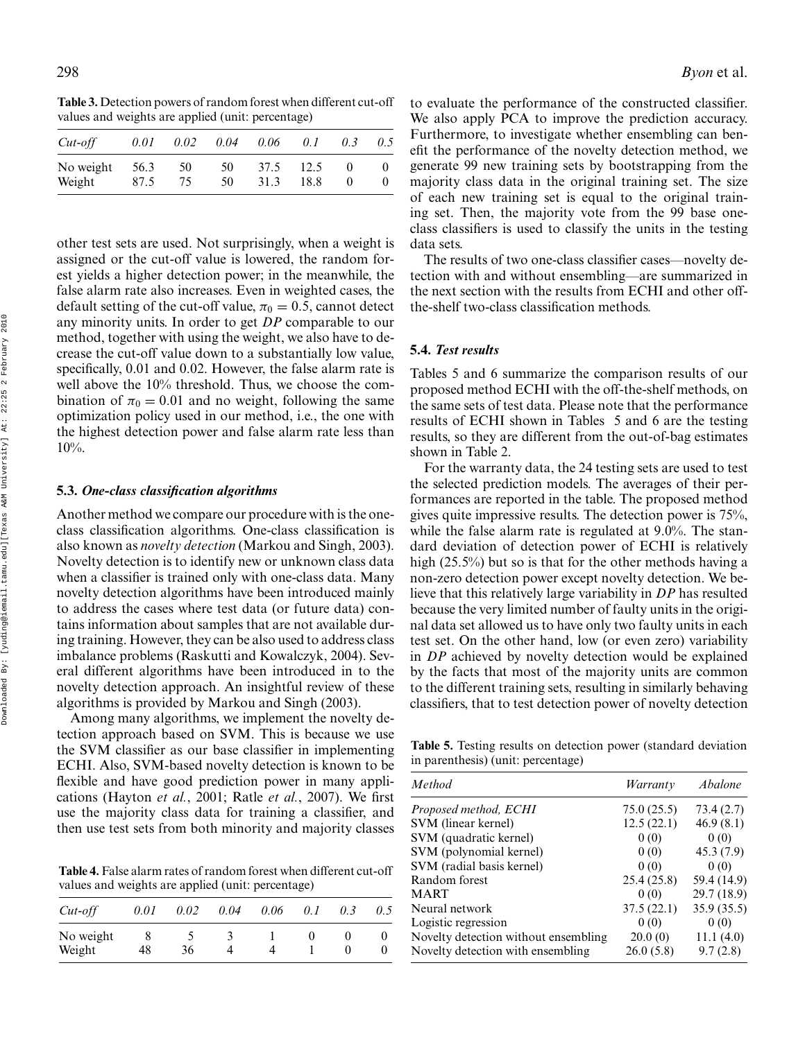**Table 3.** Detection powers of random forest when different cut-off values and weights are applied (unit: percentage)

| $Cut$ -off          | 0.01         | 0.02     | 0.04     | 0.06         | 0.1          | 0.3 | 0.5 |
|---------------------|--------------|----------|----------|--------------|--------------|-----|-----|
| No weight<br>Weight | 56.3<br>87.5 | 50<br>75 | 50<br>50 | 37.5<br>31.3 | 12.5<br>18.8 |     |     |

other test sets are used. Not surprisingly, when a weight is assigned or the cut-off value is lowered, the random forest yields a higher detection power; in the meanwhile, the false alarm rate also increases. Even in weighted cases, the default setting of the cut-off value,  $\pi_0 = 0.5$ , cannot detect any minority units. In order to get *DP* comparable to our method, together with using the weight, we also have to decrease the cut-off value down to a substantially low value, specifically, 0.01 and 0.02. However, the false alarm rate is well above the 10% threshold. Thus, we choose the combination of  $\pi_0 = 0.01$  and no weight, following the same optimization policy used in our method, i.e., the one with the highest detection power and false alarm rate less than 10%.

#### **5.3.** *One-class classification algorithms*

Another method we compare our procedure with is the oneclass classification algorithms. One-class classification is also known as *novelty detection* (Markou and Singh, 2003). Novelty detection is to identify new or unknown class data when a classifier is trained only with one-class data. Many novelty detection algorithms have been introduced mainly to address the cases where test data (or future data) contains information about samples that are not available during training. However, they can be also used to address class imbalance problems (Raskutti and Kowalczyk, 2004). Several different algorithms have been introduced in to the novelty detection approach. An insightful review of these algorithms is provided by Markou and Singh (2003).

Among many algorithms, we implement the novelty detection approach based on SVM. This is because we use the SVM classifier as our base classifier in implementing ECHI. Also, SVM-based novelty detection is known to be flexible and have good prediction power in many applications (Hayton *et al.*, 2001; Ratle *et al.*, 2007). We first use the majority class data for training a classifier, and then use test sets from both minority and majority classes

**Table 4.** False alarm rates of random forest when different cut-off values and weights are applied (unit: percentage)

| $Cut-off$ | 0.01 | 0.02 | 0.04 | 0.06 | 0.1 |  |
|-----------|------|------|------|------|-----|--|
| No weight |      |      |      |      | 0   |  |
| Weight    | 48   | 36   |      |      |     |  |

298 *Byon* et al.

to evaluate the performance of the constructed classifier. We also apply PCA to improve the prediction accuracy. Furthermore, to investigate whether ensembling can benefit the performance of the novelty detection method, we generate 99 new training sets by bootstrapping from the majority class data in the original training set. The size of each new training set is equal to the original training set. Then, the majority vote from the 99 base oneclass classifiers is used to classify the units in the testing data sets.

The results of two one-class classifier cases—novelty detection with and without ensembling—are summarized in the next section with the results from ECHI and other offthe-shelf two-class classification methods.

## **5.4.** *Test results*

Tables 5 and 6 summarize the comparison results of our proposed method ECHI with the off-the-shelf methods, on the same sets of test data. Please note that the performance results of ECHI shown in Tables 5 and 6 are the testing results, so they are different from the out-of-bag estimates shown in Table 2.

For the warranty data, the 24 testing sets are used to test the selected prediction models. The averages of their performances are reported in the table. The proposed method gives quite impressive results. The detection power is 75%, while the false alarm rate is regulated at 9.0%. The standard deviation of detection power of ECHI is relatively high (25.5%) but so is that for the other methods having a non-zero detection power except novelty detection. We believe that this relatively large variability in *DP* has resulted because the very limited number of faulty units in the original data set allowed us to have only two faulty units in each test set. On the other hand, low (or even zero) variability in *DP* achieved by novelty detection would be explained by the facts that most of the majority units are common to the different training sets, resulting in similarly behaving classifiers, that to test detection power of novelty detection

**Table 5.** Testing results on detection power (standard deviation in parenthesis) (unit: percentage)

| Method                               | Warranty   | Abalone     |
|--------------------------------------|------------|-------------|
| Proposed method, ECHI                | 75.0(25.5) | 73.4(2.7)   |
| SVM (linear kernel)                  | 12.5(22.1) | 46.9(8.1)   |
| SVM (quadratic kernel)               | 0(0)       | 0(0)        |
| SVM (polynomial kernel)              | 0(0)       | 45.3(7.9)   |
| SVM (radial basis kernel)            | 0(0)       | 0(0)        |
| Random forest                        | 25.4(25.8) | 59.4 (14.9) |
| <b>MART</b>                          | 0(0)       | 29.7 (18.9) |
| Neural network                       | 37.5(22.1) | 35.9 (35.5) |
| Logistic regression                  | 0(0)       | 0(0)        |
| Novelty detection without ensembling | 20.0(0)    | 11.1(4.0)   |
| Novelty detection with ensembling    | 26.0(5.8)  | 9.7(2.8)    |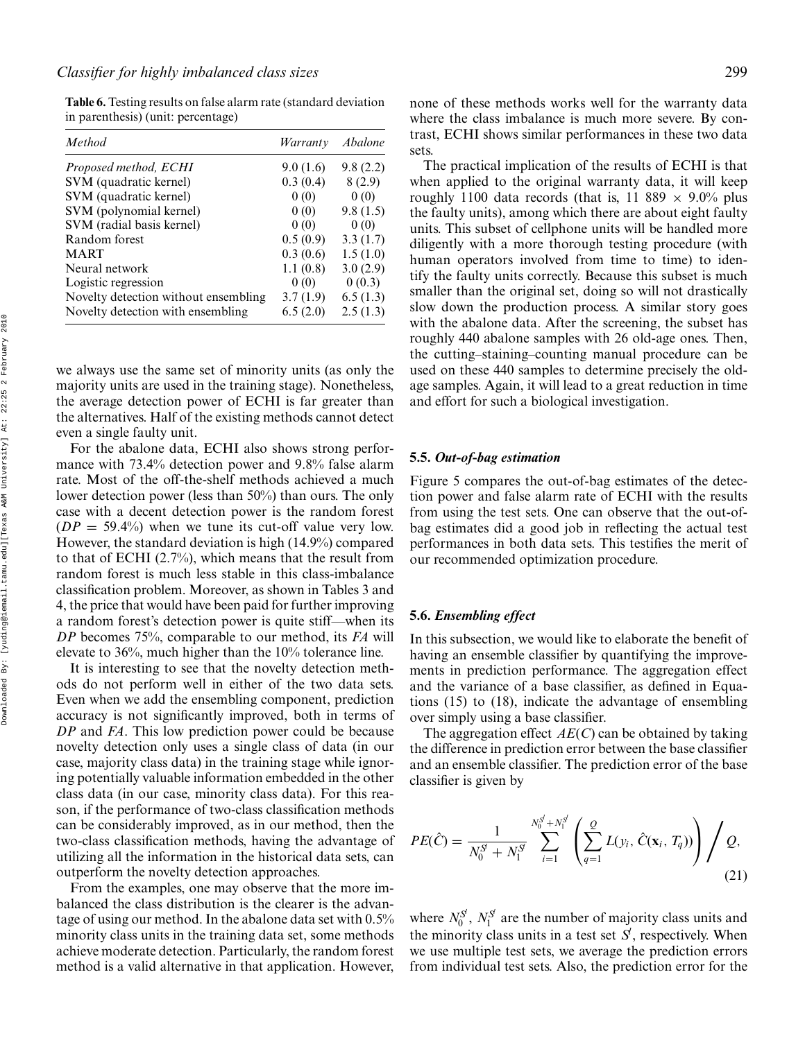**Table 6.** Testing results on false alarm rate (standard deviation in parenthesis) (unit: percentage)

| Method                               | Warranty | Abalone  |
|--------------------------------------|----------|----------|
| Proposed method, ECHI                | 9.0(1.6) | 9.8(2.2) |
| SVM (quadratic kernel)               | 0.3(0.4) | 8(2.9)   |
| SVM (quadratic kernel)               | 0(0)     | 0(0)     |
| SVM (polynomial kernel)              | 0(0)     | 9.8(1.5) |
| SVM (radial basis kernel)            | 0(0)     | 0(0)     |
| Random forest                        | 0.5(0.9) | 3.3(1.7) |
| <b>MART</b>                          | 0.3(0.6) | 1.5(1.0) |
| Neural network                       | 1.1(0.8) | 3.0(2.9) |
| Logistic regression                  | 0(0)     | 0(0.3)   |
| Novelty detection without ensembling | 3.7(1.9) | 6.5(1.3) |
| Novelty detection with ensembling    | 6.5(2.0) | 2.5(1.3) |

we always use the same set of minority units (as only the majority units are used in the training stage). Nonetheless, the average detection power of ECHI is far greater than the alternatives. Half of the existing methods cannot detect even a single faulty unit.

For the abalone data, ECHI also shows strong performance with 73.4% detection power and 9.8% false alarm rate. Most of the off-the-shelf methods achieved a much lower detection power (less than 50%) than ours. The only case with a decent detection power is the random forest  $(DP = 59.4\%)$  when we tune its cut-off value very low. However, the standard deviation is high (14.9%) compared to that of ECHI (2.7%), which means that the result from random forest is much less stable in this class-imbalance classification problem. Moreover, as shown in Tables 3 and 4, the price that would have been paid for further improving a random forest's detection power is quite stiff—when its *DP* becomes 75%, comparable to our method, its *FA* will elevate to 36%, much higher than the 10% tolerance line.

It is interesting to see that the novelty detection methods do not perform well in either of the two data sets. Even when we add the ensembling component, prediction accuracy is not significantly improved, both in terms of *DP* and *FA*. This low prediction power could be because novelty detection only uses a single class of data (in our case, majority class data) in the training stage while ignoring potentially valuable information embedded in the other class data (in our case, minority class data). For this reason, if the performance of two-class classification methods can be considerably improved, as in our method, then the two-class classification methods, having the advantage of utilizing all the information in the historical data sets, can outperform the novelty detection approaches.

From the examples, one may observe that the more imbalanced the class distribution is the clearer is the advantage of using our method. In the abalone data set with 0.5% minority class units in the training data set, some methods achieve moderate detection. Particularly, the random forest method is a valid alternative in that application. However,

none of these methods works well for the warranty data where the class imbalance is much more severe. By contrast, ECHI shows similar performances in these two data sets.

The practical implication of the results of ECHI is that when applied to the original warranty data, it will keep roughly 1100 data records (that is, 11 889  $\times$  9.0% plus the faulty units), among which there are about eight faulty units. This subset of cellphone units will be handled more diligently with a more thorough testing procedure (with human operators involved from time to time) to identify the faulty units correctly. Because this subset is much smaller than the original set, doing so will not drastically slow down the production process. A similar story goes with the abalone data. After the screening, the subset has roughly 440 abalone samples with 26 old-age ones. Then, the cutting–staining–counting manual procedure can be used on these 440 samples to determine precisely the oldage samples. Again, it will lead to a great reduction in time and effort for such a biological investigation.

## **5.5.** *Out-of-bag estimation*

Figure 5 compares the out-of-bag estimates of the detection power and false alarm rate of ECHI with the results from using the test sets. One can observe that the out-ofbag estimates did a good job in reflecting the actual test performances in both data sets. This testifies the merit of our recommended optimization procedure.

## **5.6.** *Ensembling effect*

In this subsection, we would like to elaborate the benefit of having an ensemble classifier by quantifying the improvements in prediction performance. The aggregation effect and the variance of a base classifier, as defined in Equations (15) to (18), indicate the advantage of ensembling over simply using a base classifier.

The aggregation effect *AE*(*C*) can be obtained by taking the difference in prediction error between the base classifier and an ensemble classifier. The prediction error of the base classifier is given by

$$
PE(\hat{C}) = \frac{1}{N_0^S + N_1^S} \sum_{i=1}^{N_0^S + N_1^S} \left( \sum_{q=1}^{Q} L(y_i, \hat{C}(\mathbf{x}_i, T_q)) \right) / Q,
$$
\n(21)

where  $N_0^S$ ,  $N_1^S$  are the number of majority class units and the minority class units in a test set  $S<sup>l</sup>$ , respectively. When we use multiple test sets, we average the prediction errors from individual test sets. Also, the prediction error for the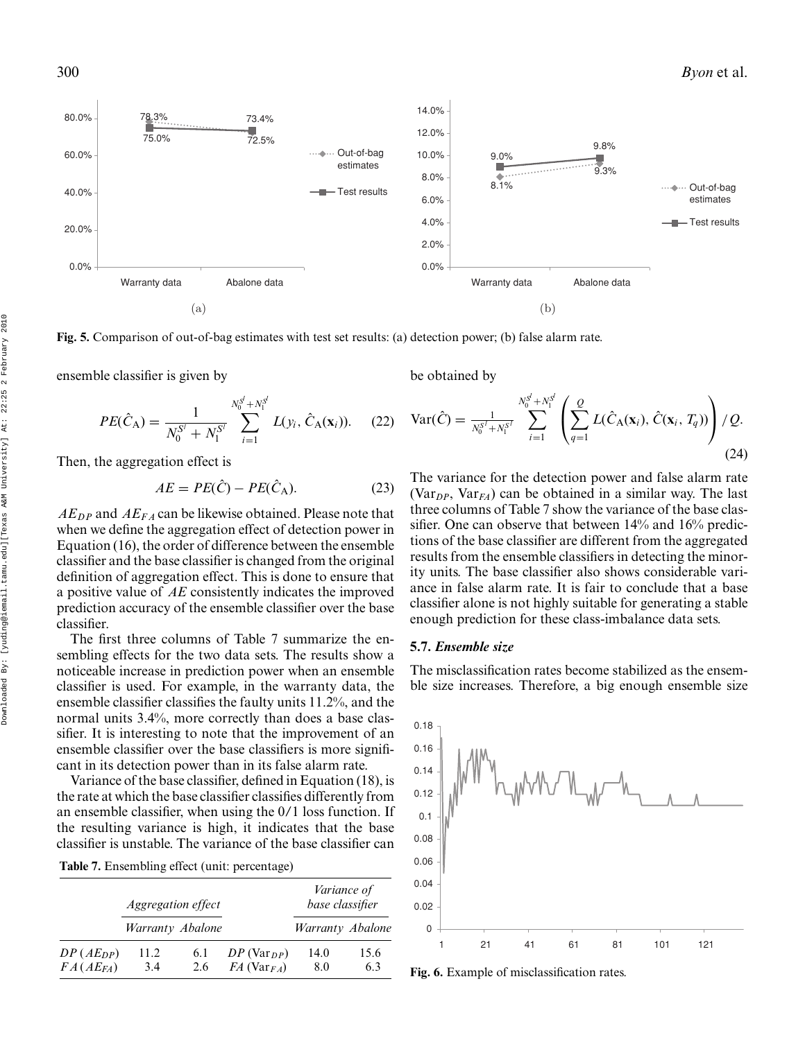

**Fig. 5.** Comparison of out-of-bag estimates with test set results: (a) detection power; (b) false alarm rate.

ensemble classifier is given by

 $PE(\hat{C}_{\text{A}}) = \frac{1}{N_0^{S'} + N_1^{S'}}$  $\sum_{j=1}^{N_0^S}$ *i*=1 *L*( $y_i$ ,  $\hat{C}_A(\mathbf{x}_i)$ ). (22)

Then, the aggregation effect is

$$
AE = PE(\hat{C}) - PE(\hat{C}_{A}).
$$
\n(23)

*AEDP* and *AEF A* can be likewise obtained. Please note that when we define the aggregation effect of detection power in Equation (16), the order of difference between the ensemble classifier and the base classifier is changed from the original definition of aggregation effect. This is done to ensure that a positive value of *AE* consistently indicates the improved prediction accuracy of the ensemble classifier over the base classifier.

The first three columns of Table 7 summarize the ensembling effects for the two data sets. The results show a noticeable increase in prediction power when an ensemble classifier is used. For example, in the warranty data, the ensemble classifier classifies the faulty units 11.2%, and the normal units 3.4%, more correctly than does a base classifier. It is interesting to note that the improvement of an ensemble classifier over the base classifiers is more significant in its detection power than in its false alarm rate.

Variance of the base classifier, defined in Equation (18), is the rate at which the base classifier classifies differently from an ensemble classifier, when using the 0/1 loss function. If the resulting variance is high, it indicates that the base classifier is unstable. The variance of the base classifier can

| Table 7. Ensembling effect (unit: percentage) |  |
|-----------------------------------------------|--|
|-----------------------------------------------|--|

|               | <i>Aggregation effect</i> |     |                                        | <i>Variance of</i><br>base classifier |      |
|---------------|---------------------------|-----|----------------------------------------|---------------------------------------|------|
|               | Warranty Abalone          |     |                                        | Warranty Abalone                      |      |
| $DP(AE_{DP})$ | 11.2                      | 6.1 | $DP(Var_{DP})$                         | 14.0                                  | 15.6 |
| $FA(AE_{FA})$ | 3.4                       | 2.6 | $FA$ (Var <sub><math>FA</math></sub> ) | -8.0                                  | 63   |

be obtained by

$$
Var(\hat{C}) = \frac{1}{N_0^{S^I + N_1^{S^I}}} \sum_{i=1}^{N_0^{S^I + N_1^{S^I}}} \left( \sum_{q=1}^{Q} L(\hat{C}_A(\mathbf{x}_i), \hat{C}(\mathbf{x}_i, T_q)) \right) / Q.
$$
\n(24)

The variance for the detection power and false alarm rate  $(Var<sub>DP</sub>, Var<sub>FA</sub>)$  can be obtained in a similar way. The last three columns of Table 7 show the variance of the base classifier. One can observe that between 14% and 16% predictions of the base classifier are different from the aggregated results from the ensemble classifiers in detecting the minority units. The base classifier also shows considerable variance in false alarm rate. It is fair to conclude that a base classifier alone is not highly suitable for generating a stable enough prediction for these class-imbalance data sets.

## **5.7.** *Ensemble size*

The misclassification rates become stabilized as the ensemble size increases. Therefore, a big enough ensemble size



**Fig. 6.** Example of misclassification rates.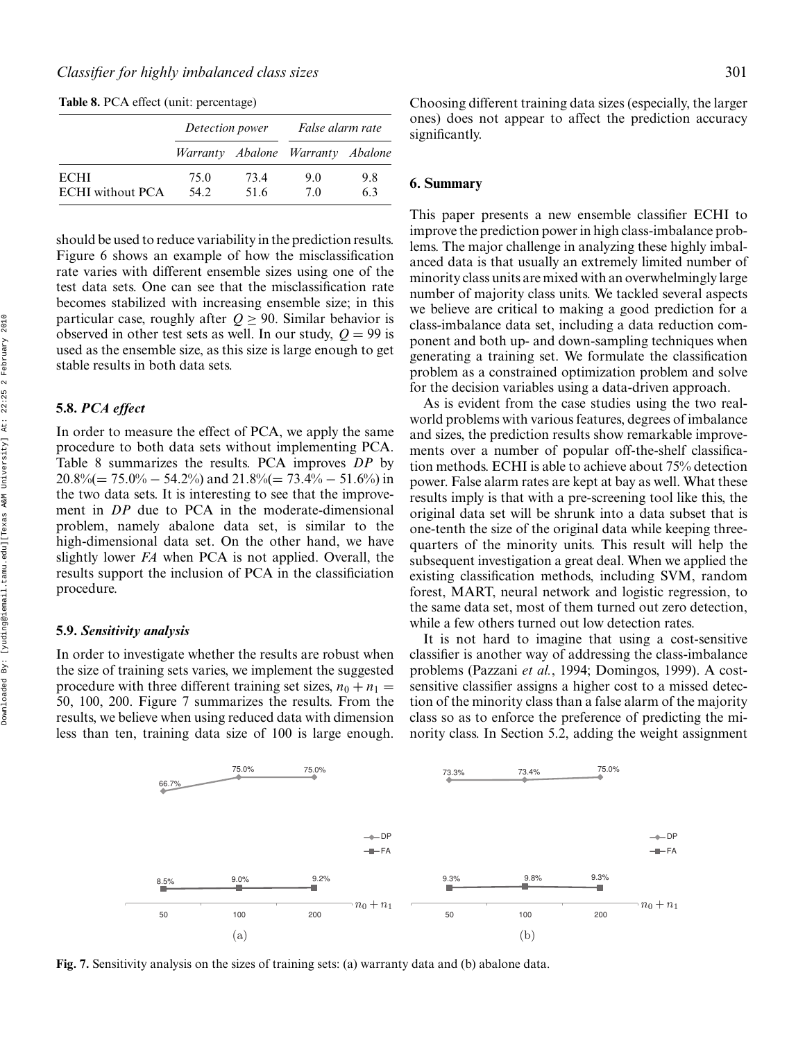**Table 8.** PCA effect (unit: percentage)

should be used to reduce variability in the prediction results. Figure 6 shows an example of how the misclassification rate varies with different ensemble sizes using one of the test data sets. One can see that the misclassification rate becomes stabilized with increasing ensemble size; in this particular case, roughly after  $Q > 90$ . Similar behavior is observed in other test sets as well. In our study,  $Q = 99$  is used as the ensemble size, as this size is large enough to get stable results in both data sets.

## **5.8.** *PCA effect*

In order to measure the effect of PCA, we apply the same procedure to both data sets without implementing PCA. Table 8 summarizes the results. PCA improves *DP* by  $20.8\% (= 75.0\% - 54.2\%)$  and  $21.8\% (= 73.4\% - 51.6\%)$  in the two data sets. It is interesting to see that the improvement in *DP* due to PCA in the moderate-dimensional problem, namely abalone data set, is similar to the high-dimensional data set. On the other hand, we have slightly lower *FA* when PCA is not applied. Overall, the results support the inclusion of PCA in the classificiation procedure.

## **5.9.** *Sensitivity analysis*

In order to investigate whether the results are robust when the size of training sets varies, we implement the suggested procedure with three different training set sizes,  $n_0 + n_1 =$ 50, 100, 200. Figure 7 summarizes the results. From the results, we believe when using reduced data with dimension less than ten, training data size of 100 is large enough.

66.7%

Choosing different training data sizes (especially, the larger ones) does not appear to affect the prediction accuracy significantly.

## **6. Summary**

This paper presents a new ensemble classifier ECHI to improve the prediction power in high class-imbalance problems. The major challenge in analyzing these highly imbalanced data is that usually an extremely limited number of minority class units are mixed with an overwhelmingly large number of majority class units. We tackled several aspects we believe are critical to making a good prediction for a class-imbalance data set, including a data reduction component and both up- and down-sampling techniques when generating a training set. We formulate the classification problem as a constrained optimization problem and solve for the decision variables using a data-driven approach.

As is evident from the case studies using the two realworld problems with various features, degrees of imbalance and sizes, the prediction results show remarkable improvements over a number of popular off-the-shelf classification methods. ECHI is able to achieve about 75% detection power. False alarm rates are kept at bay as well. What these results imply is that with a pre-screening tool like this, the original data set will be shrunk into a data subset that is one-tenth the size of the original data while keeping threequarters of the minority units. This result will help the subsequent investigation a great deal. When we applied the existing classification methods, including SVM, random forest, MART, neural network and logistic regression, to the same data set, most of them turned out zero detection, while a few others turned out low detection rates.

It is not hard to imagine that using a cost-sensitive classifier is another way of addressing the class-imbalance problems (Pazzani *et al.*, 1994; Domingos, 1999). A costsensitive classifier assigns a higher cost to a missed detection of the minority class than a false alarm of the majority class so as to enforce the preference of predicting the minority class. In Section 5.2, adding the weight assignment

73.3% 73.4% 75.0%



**Fig. 7.** Sensitivity analysis on the sizes of training sets: (a) warranty data and (b) abalone data.

75.0% 75.0%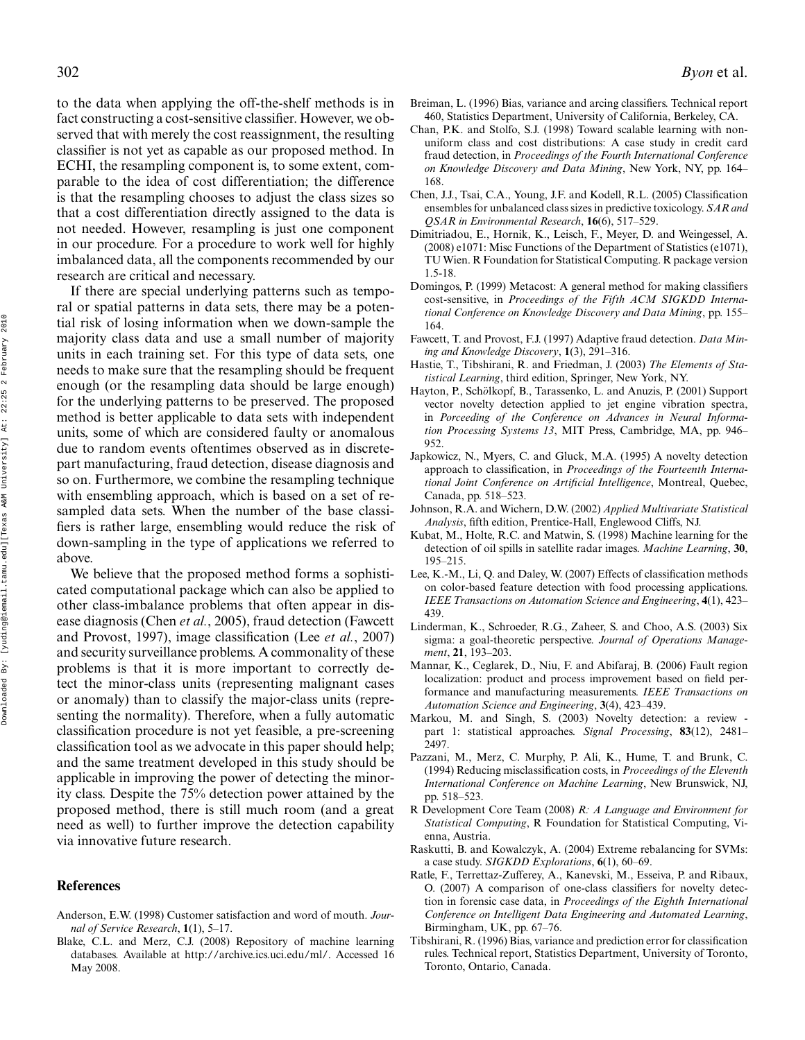to the data when applying the off-the-shelf methods is in fact constructing a cost-sensitive classifier. However, we observed that with merely the cost reassignment, the resulting classifier is not yet as capable as our proposed method. In ECHI, the resampling component is, to some extent, comparable to the idea of cost differentiation; the difference is that the resampling chooses to adjust the class sizes so that a cost differentiation directly assigned to the data is not needed. However, resampling is just one component in our procedure. For a procedure to work well for highly imbalanced data, all the components recommended by our research are critical and necessary.

If there are special underlying patterns such as temporal or spatial patterns in data sets, there may be a potential risk of losing information when we down-sample the majority class data and use a small number of majority units in each training set. For this type of data sets, one needs to make sure that the resampling should be frequent enough (or the resampling data should be large enough) for the underlying patterns to be preserved. The proposed method is better applicable to data sets with independent units, some of which are considered faulty or anomalous due to random events oftentimes observed as in discretepart manufacturing, fraud detection, disease diagnosis and so on. Furthermore, we combine the resampling technique with ensembling approach, which is based on a set of resampled data sets. When the number of the base classifiers is rather large, ensembling would reduce the risk of down-sampling in the type of applications we referred to above.

We believe that the proposed method forms a sophisticated computational package which can also be applied to other class-imbalance problems that often appear in disease diagnosis (Chen *et al.*, 2005), fraud detection (Fawcett and Provost, 1997), image classification (Lee *et al.*, 2007) and security surveillance problems. A commonality of these problems is that it is more important to correctly detect the minor-class units (representing malignant cases or anomaly) than to classify the major-class units (representing the normality). Therefore, when a fully automatic classification procedure is not yet feasible, a pre-screening classification tool as we advocate in this paper should help; and the same treatment developed in this study should be applicable in improving the power of detecting the minority class. Despite the 75% detection power attained by the proposed method, there is still much room (and a great need as well) to further improve the detection capability via innovative future research.

## **References**

- Anderson, E.W. (1998) Customer satisfaction and word of mouth. *Journal of Service Research*, **1**(1), 5–17.
- Blake, C.L. and Merz, C.J. (2008) Repository of machine learning databases. Available at http://archive.ics.uci.edu/ml/. Accessed 16 May 2008.
- Breiman, L. (1996) Bias, variance and arcing classifiers. Technical report 460, Statistics Department, University of California, Berkeley, CA.
- Chan, P.K. and Stolfo, S.J. (1998) Toward scalable learning with nonuniform class and cost distributions: A case study in credit card fraud detection, in *Proceedings of the Fourth International Conference on Knowledge Discovery and Data Mining*, New York, NY, pp. 164– 168.
- Chen, J.J., Tsai, C.A., Young, J.F. and Kodell, R.L. (2005) Classification ensembles for unbalanced class sizes in predictive toxicology. *SAR and QSAR in Environmental Research*, **16**(6), 517–529.
- Dimitriadou, E., Hornik, K., Leisch, F., Meyer, D. and Weingessel, A. (2008) e1071: Misc Functions of the Department of Statistics (e1071), TU Wien. R Foundation for Statistical Computing. R package version 1.5-18.
- Domingos, P. (1999) Metacost: A general method for making classifiers cost-sensitive, in *Proceedings of the Fifth ACM SIGKDD International Conference on Knowledge Discovery and Data Mining*, pp. 155– 164.
- Fawcett, T. and Provost, F.J. (1997) Adaptive fraud detection. *Data Mining and Knowledge Discovery*, **1**(3), 291–316.
- Hastie, T., Tibshirani, R. and Friedman, J. (2003) *The Elements of Statistical Learning*, third edition, Springer, New York, NY.
- Hayton, P., Schölkopf, B., Tarassenko, L. and Anuzis, P. (2001) Support vector novelty detection applied to jet engine vibration spectra, in *Porceeding of the Conference on Advances in Neural Information Processing Systems 13*, MIT Press, Cambridge, MA, pp. 946– 952.
- Japkowicz, N., Myers, C. and Gluck, M.A. (1995) A novelty detection approach to classification, in *Proceedings of the Fourteenth International Joint Conference on Artificial Intelligence*, Montreal, Quebec, Canada, pp. 518–523.
- Johnson, R.A. and Wichern, D.W. (2002) *Applied Multivariate Statistical Analysis*, fifth edition, Prentice-Hall, Englewood Cliffs, NJ.
- Kubat, M., Holte, R.C. and Matwin, S. (1998) Machine learning for the detection of oil spills in satellite radar images. *Machine Learning*, **30**, 195–215.
- Lee, K.-M., Li, Q. and Daley, W. (2007) Effects of classification methods on color-based feature detection with food processing applications. *IEEE Transactions on Automation Science and Engineering*, **4**(1), 423– 439.
- Linderman, K., Schroeder, R.G., Zaheer, S. and Choo, A.S. (2003) Six sigma: a goal-theoretic perspective. *Journal of Operations Management*, **21**, 193–203.
- Mannar, K., Ceglarek, D., Niu, F. and Abifaraj, B. (2006) Fault region localization: product and process improvement based on field performance and manufacturing measurements. *IEEE Transactions on Automation Science and Engineering*, **3**(4), 423–439.
- Markou, M. and Singh, S. (2003) Novelty detection: a review part 1: statistical approaches. *Signal Processing*, **83**(12), 2481– 2497.
- Pazzani, M., Merz, C. Murphy, P. Ali, K., Hume, T. and Brunk, C. (1994) Reducing misclassification costs, in *Proceedings of the Eleventh International Conference on Machine Learning*, New Brunswick, NJ, pp. 518–523.
- R Development Core Team (2008) *R: A Language and Environment for Statistical Computing*, R Foundation for Statistical Computing, Vienna, Austria.
- Raskutti, B. and Kowalczyk, A. (2004) Extreme rebalancing for SVMs: a case study. *SIGKDD Explorations*, **6**(1), 60–69.
- Ratle, F., Terrettaz-Zufferey, A., Kanevski, M., Esseiva, P. and Ribaux, O. (2007) A comparison of one-class classifiers for novelty detection in forensic case data, in *Proceedings of the Eighth International Conference on Intelligent Data Engineering and Automated Learning*, Birmingham, UK, pp. 67–76.
- Tibshirani, R. (1996) Bias, variance and prediction error for classification rules. Technical report, Statistics Department, University of Toronto, Toronto, Ontario, Canada.